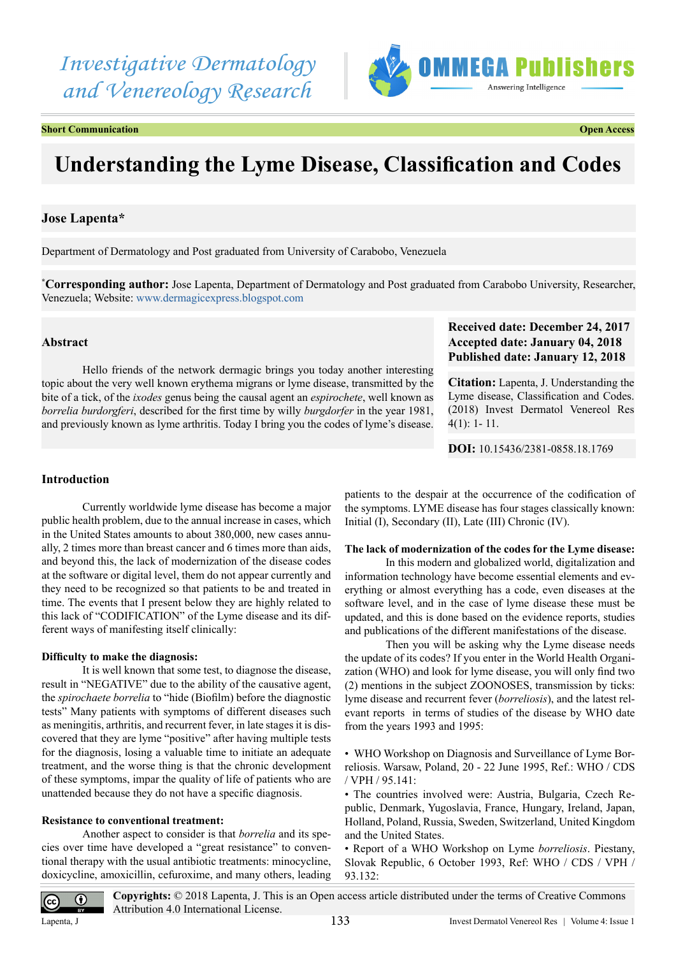# *Investigative Dermatology and Venereology Research*



**Short Communication Communication Short Communication Communication Open Access** 

# **Understanding the Lyme Disease, Classification and Codes**

# **Jose Lapenta\***

Department of Dermatology and Post graduated from University of Carabobo, Venezuela

**\* Corresponding author:** Jose Lapenta, Department of Dermatology and Post graduated from Carabobo University, Researcher, Venezuela; Website: [www.dermagicexpress.blogspot.com](http://www.dermagicexpress.blogspot.com)

# **Abstract**

Hello friends of the network dermagic brings you today another interesting topic about the very well known erythema migrans or lyme disease, transmitted by the bite of a tick, of the *ixodes* genus being the causal agent an *espirochete*, well known as *borrelia burdorgferi*, described for the first time by willy *burgdorfer* in the year 1981, and previously known as lyme arthritis. Today I bring you the codes of lyme's disease.

# **Received date: December 24, 2017 Accepted date: January 04, 2018 Published date: January 12, 2018**

**Citation:** Lapenta, J. Understanding the Lyme disease, Classification and Codes. (2018) Invest Dermatol Venereol Res 4(1): 1- 11.

**DOI:** [10.15436/2381-0858.18.](https://doi.org/10.15436/2381-0858.18.1769
)1769

# **Introduction**

Currently worldwide lyme disease has become a major public health problem, due to the annual increase in cases, which in the United States amounts to about 380,000, new cases annually, 2 times more than breast cancer and 6 times more than aids, and beyond this, the lack of modernization of the disease codes at the software or digital level, them do not appear currently and they need to be recognized so that patients to be and treated in time. The events that I present below they are highly related to this lack of "CODIFICATION" of the Lyme disease and its different ways of manifesting itself clinically:

# **Difficulty to make the diagnosis:**

It is well known that some test, to diagnose the disease, result in "NEGATIVE" due to the ability of the causative agent, the *spirochaete borrelia* to "hide (Biofilm) before the diagnostic tests" Many patients with symptoms of different diseases such as meningitis, arthritis, and recurrent fever, in late stages it is discovered that they are lyme "positive" after having multiple tests for the diagnosis, losing a valuable time to initiate an adequate treatment, and the worse thing is that the chronic development of these symptoms, impar the quality of life of patients who are unattended because they do not have a specific diagnosis.

# **Resistance to conventional treatment:**

Another aspect to consider is that *borrelia* and its species over time have developed a "great resistance" to conventional therapy with the usual antibiotic treatments: minocycline, doxicycline, amoxicillin, cefuroxime, and many others, leading patients to the despair at the occurrence of the codification of the symptoms. LYME disease has four stages classically known: Initial (I), Secondary (II), Late (III) Chronic (IV).

# **The lack of modernization of the codes for the Lyme disease:**

In this modern and globalized world, digitalization and information technology have become essential elements and everything or almost everything has a code, even diseases at the software level, and in the case of lyme disease these must be updated, and this is done based on the evidence reports, studies and publications of the different manifestations of the disease.

Then you will be asking why the Lyme disease needs the update of its codes? If you enter in the World Health Organization (WHO) and look for lyme disease, you will only find two (2) mentions in the subject ZOONOSES, transmission by ticks: lyme disease and recurrent fever (*borreliosis*), and the latest relevant reports in terms of studies of the disease by WHO date from the years 1993 and 1995:

• WHO Workshop on Diagnosis and Surveillance of Lyme Borreliosis. Warsaw, Poland, 20 - 22 June 1995, Ref.: WHO / CDS / VPH / 95.141:

• The countries involved were: Austria, Bulgaria, Czech Republic, Denmark, Yugoslavia, France, Hungary, Ireland, Japan, Holland, Poland, Russia, Sweden, Switzerland, United Kingdom and the United States.

• Report of a WHO Workshop on Lyme *borreliosis*. Piestany, Slovak Republic, 6 October 1993, Ref: WHO / CDS / VPH / 93.132:



**Copyrights:** © 2018 Lapenta, J. This is an Open access article distributed under the terms of Creative Commons Attribution 4.0 International License.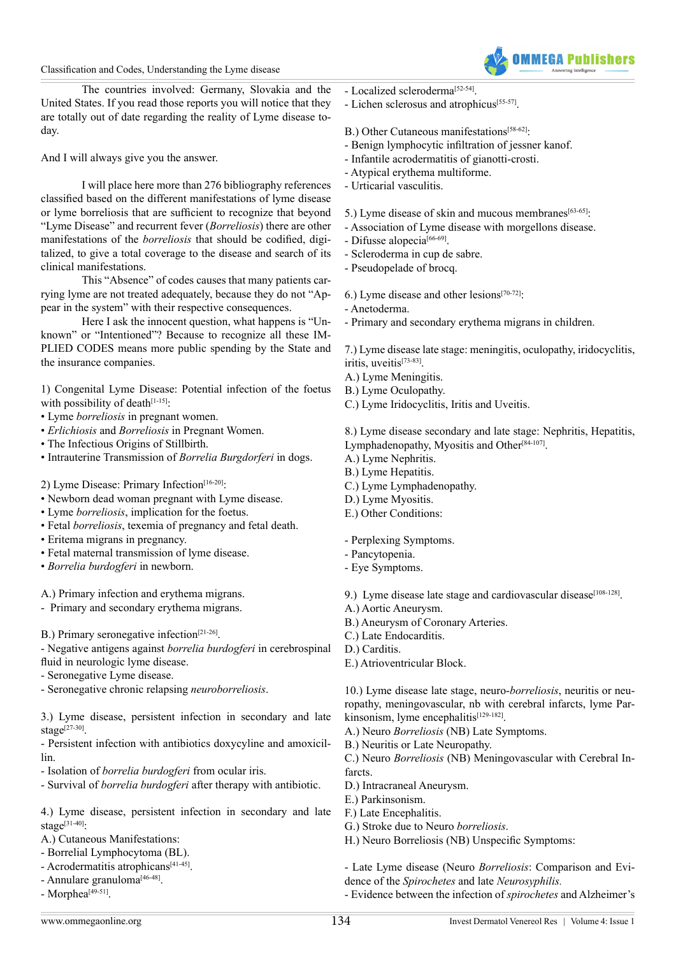# Classification and Codes, Understanding the Lyme disease



The countries involved: Germany, Slovakia and the United States. If you read those reports you will notice that they are totally out of date regarding the reality of Lyme disease today.

And I will always give you the answer.

I will place here more than 276 bibliography references classified based on the different manifestations of lyme disease or lyme borreliosis that are sufficient to recognize that beyond "Lyme Disease" and recurrent fever (*Borreliosis*) there are other manifestations of the *borreliosis* that should be codified, digitalized, to give a total coverage to the disease and search of its clinical manifestations.

This "Absence" of codes causes that many patients carrying lyme are not treated adequately, because they do not "Appear in the system" with their respective consequences.

Here I ask the innocent question, what happens is "Unknown" or "Intentioned"? Because to recognize all these IM-PLIED CODES means more public spending by the State and the insurance companies.

1) Congenital Lyme Disease: Potential infection of the foetus with possibility of death $[1-15]$ :

- Lyme *borreliosis* in pregnant women.
- *Erlichiosis* and *Borreliosis* in Pregnant Women.
- The Infectious Origins of Stillbirth.
- Intrauterine Transmission of *Borrelia Burgdorferi* in dogs.

2) Lyme Disease: Primary Infection<sup>[16-20]</sup>:

- Newborn dead woman pregnant with Lyme disease.
- Lyme *borreliosis*, implication for the foetus.
- Fetal *borreliosis*, texemia of pregnancy and fetal death.
- Eritema migrans in pregnancy.
- Fetal maternal transmission of lyme disease.
- *Borrelia burdogferi* in newborn.

A.) Primary infection and erythema migrans.

- Primary and secondary erythema migrans.

B.) Primary seronegative infection<sup>[21-26]</sup>.

- Negative antigens against *borrelia burdogferi* in cerebrospinal fluid in neurologic lyme disease.

- Seronegative Lyme disease.

- Seronegative chronic relapsing *neuroborreliosis*.

3.) Lyme disease, persistent infection in secondary and late stage $[27-30]$ .

- Persistent infection with antibiotics doxycyline and amoxicillin.

- Isolation of *borrelia burdogferi* from ocular iris.

- Survival of *borrelia burdogferi* after therapy with antibiotic.

4.) Lyme disease, persistent infection in secondary and late stage<sup>[\[31-40\]](#page-3-2)</sup>:

A.) Cutaneous Manifestations:

- Borrelial Lymphocytoma (BL).
- Acrodermatitis atrophicans<sup>[\[41-45\]](#page-3-3)</sup>.
- Annulare granuloma<sup>[\[46-48\]](#page-3-4)</sup>.

 $-$  Morphea<sup>[\[49-51\]](#page-3-5)</sup>.

- Localized scleroderm[a\[52-54\].](#page-4-0)
- Lichen sclerosus and atrophicus<sup>[55-57]</sup>.

# B.) Other Cutaneous manifestations<sup>[\[58-62\]](#page-4-2)</sup>:

- Benign lymphocytic infiltration of jessner kanof.
- Infantile acrodermatitis of gianotti-crosti.
- Atypical erythema multiforme.
- Urticarial vasculitis.

5.) Lyme disease of skin and mucous membranes<sup>[63-65]</sup>:

- Association of Lyme disease with morgellons disease.
- Difusse alopecia<sup>[\[66-69\]](#page-4-4)</sup>.
- Scleroderma in cup de sabre.
- Pseudopelade of brocq.

6.) Lyme disease and other lesions[\[70-72\]:](#page-4-5)

- Anetoderma.
- Primary and secondary erythema migrans in children.

7.) Lyme disease late stage: meningitis, oculopathy, iridocyclitis, iritis, uveitis[\[73-83\]](#page-4-6).

A.) Lyme Meningitis.

- B.) Lyme Oculopathy.
- C.) Lyme Iridocyclitis, Iritis and Uveitis.

8.) Lyme disease secondary and late stage: Nephritis, Hepatitis, Lymphadenopathy, Myositis and Other[\[84-107\]](#page-4-7).

- A.) Lyme Nephritis.
- B.) Lyme Hepatitis.
- C.) Lyme Lymphadenopathy.
- D.) Lyme Myositis.
- E.) Other Conditions:

- Perplexing Symptoms.

- Pancytopenia.
- Eye Symptoms.

9.) Lyme disease late stage and cardiovascular disease<sup>[\[108-128\]](#page-5-0)</sup>.

- A.) Aortic Aneurysm.
- B.) Aneurysm of Coronary Arteries.

C.) Late Endocarditis.

- D.) Carditis.
- E.) Atrioventricular Block.

10.) Lyme disease late stage, neuro-*borreliosis*, neuritis or neuropathy, meningovascular, nb with cerebral infarcts, lyme Parkinsonism, lyme encephalitis $[129-182]$ .

A.) Neuro *Borreliosis* (NB) Late Symptoms.

B.) Neuritis or Late Neuropathy.

C.) Neuro *Borreliosis* (NB) Meningovascular with Cerebral Infarcts.

- D.) Intracraneal Aneurysm.
- E.) Parkinsonism.
- F.) Late Encephalitis.
- G.) Stroke due to Neuro *borreliosis*.
- H.) Neuro Borreliosis (NB) Unspecific Symptoms:
- Late Lyme disease (Neuro *Borreliosis*: Comparison and Evi-
- dence of the *Spirochetes* and late *Neurosyphilis.*
- Evidence between the infection of *spirochetes* and Alzheimer's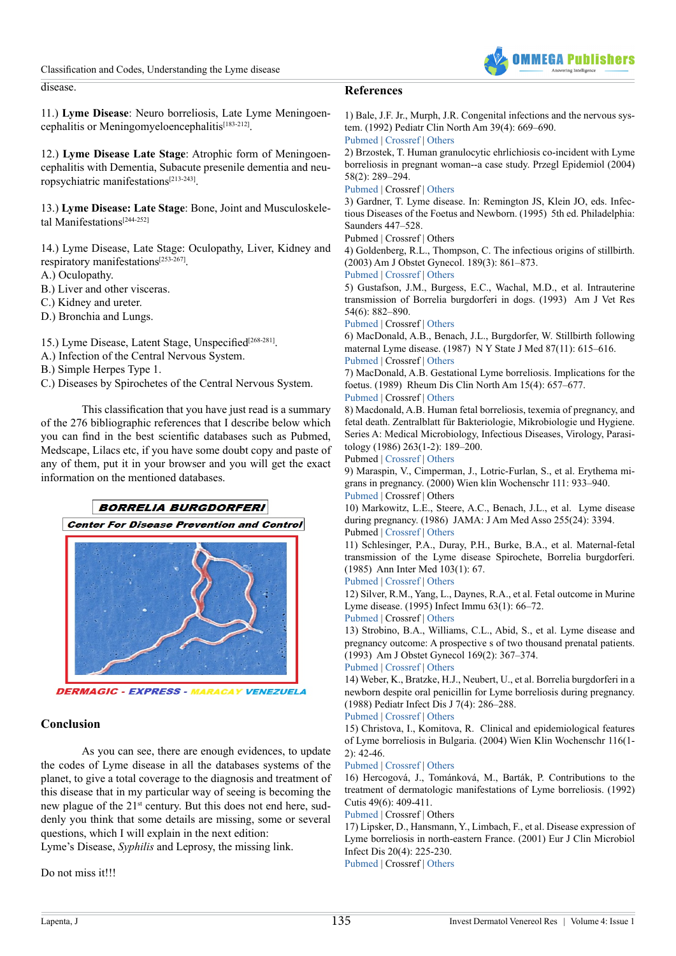Classification and Codes, Understanding the Lyme disease



disease.

# **References**

11.) **Lyme Disease**: Neuro borreliosis, Late Lyme Meningoencephalitis or Meningomyeloencephalitis<sup>[183-212]</sup>.

12.) **Lyme Disease Late Stage**: Atrophic form of Meningoencephalitis with Dementia, Subacute presenile dementia and neuropsychiatric manifestation[s\[213-243\]](#page-8-0).

13.) **Lyme Disease: Late Stage**: Bone, Joint and Musculoskele-tal Manifestations<sup>[\[244-252\]](#page-9-0)</sup>

14.) Lyme Disease, Late Stage: Oculopathy, Liver, Kidney and respiratory manifestation[s\[253-267\]](#page-9-1).

A.) Oculopathy.

B.) Liver and other visceras.

C.) Kidney and ureter.

D.) Bronchia and Lungs.

15.) Lyme Disease, Latent Stage, Unspecified<sup>[\[268-281\]](#page-10-0)</sup>.

A.) Infection of the Central Nervous System.

B.) Simple Herpes Type 1.

C.) Diseases by Spirochetes of the Central Nervous System.

This classification that you have just read is a summary of the 276 bibliographic references that I describe below which you can find in the best scientific databases such as Pubmed, Medscape, Lilacs etc, if you have some doubt copy and paste of any of them, put it in your browser and you will get the exact information on the mentioned databases.



**DERMAGIC - EXPRESS - MARACAY VENEZUELA** 

# **Conclusion**

As you can see, there are enough evidences, to update the codes of Lyme disease in all the databases systems of the planet, to give a total coverage to the diagnosis and treatment of this disease that in my particular way of seeing is becoming the new plague of the 21<sup>st</sup> century. But this does not end here, suddenly you think that some details are missing, some or several questions, which I will explain in the next edition:

Lyme's Disease, *Syphilis* and Leprosy, the missing link.

Do not miss it!!!

<span id="page-2-0"></span>1) Bale, J.F. Jr., Murph, J.R. Congenital infections and the nervous system. (1992) Pediatr Clin North Am 39(4): 669–690. [Pubmed](https://www.ncbi.nlm.nih.gov/pubmed/1321971) | [Crossref](https://doi.org/10.1016/S0031-3955(16)38370-5) | [Others](http://www.sciencedirect.com/science/article/pii/S0031395516383705?via%3Dihub)

2) Brzostek, T. Human granulocytic ehrlichiosis co-incident with Lyme borreliosis in pregnant woman--a case study. Przegl Epidemiol (2004) 58(2): 289–294.

[Pubmed](https://www.ncbi.nlm.nih.gov/pubmed/15517809) | Crossref | [Others](https://www.researchgate.net/publication/8202237_Human_granulocytic_ehrlichiosis_co-incident_with_Lyme_borreliosis_in_pregnant_woman_-_a_case_study)

3) Gardner, T. Lyme disease. In: Remington JS, Klein JO, eds. Infectious Diseases of the Foetus and Newborn. (1995) 5th ed. Philadelphia: Saunders 447–528.

Pubmed | Crossref | Others

4) Goldenberg, R.L., Thompson, C. The infectious origins of stillbirth. (2003) Am J Obstet Gynecol. 189(3): 861–873.

[Pubmed](https://www.ncbi.nlm.nih.gov/pubmed/14526331) | [Crossref](http://dx.doi.org/10.1067/S0002-9378(03)00470-8) | [Others](http://www.ajog.org/article/S0002-9378(03)00470-8/fulltext)

5) Gustafson, J.M., Burgess, E.C., Wachal, M.D., et al. Intrauterine transmission of Borrelia burgdorferi in dogs. (1993) Am J Vet Res 54(6): 882–890.

[Pubmed](https://www.ncbi.nlm.nih.gov/pubmed/8323057) | Crossref | [Others](https://www.researchgate.net/publication/14876357_Intrauterine_transmission_of_Borrelia_burgdorferi_in_dogs)

6) MacDonald, A.B., Benach, J.L., Burgdorfer, W. Stillbirth following maternal Lyme disease. (1987) N Y State J Med 87(11): 615–616. [Pubmed](https://www.ncbi.nlm.nih.gov/pubmed/3480464) | Crossref | [Others](https://www.unboundmedicine.com/medline/citation/3480464/Stillbirth_following_maternal_Lyme_disease_)

7) MacDonald, A.B. Gestational Lyme borreliosis. Implications for the foetus. (1989) Rheum Dis Clin North Am 15(4): 657–677.

#### [Pubmed](https://www.ncbi.nlm.nih.gov/pubmed/2685924) | Crossref | [Others](https://www.researchgate.net/publication/20470158_Gestational_Lyme_borreliosis_Implications_for_the_fetus)

8) Macdonald, A.B. Human fetal borreliosis, texemia of pregnancy, and fetal death. Zentralblatt für Bakteriologie, Mikrobiologie und Hygiene. Series A: Medical Microbiology, Infectious Diseases, Virology, Parasitology (1986) 263(1-2): 189–200.

Pubmed | [Crossref](https://doi.org/10.1016/S0176-6724(86)80122-5) | [Others](https://www.sciencedirect.com/science/article/pii/S0176672486801225)

9) Maraspin, V., Cimperman, J., Lotric-Furlan, S., et al. Erythema migrans in pregnancy. (2000) Wien klin Wochenschr 111: 933–940. [Pubmed](https://www.ncbi.nlm.nih.gov/pubmed/10666804) | Crossref | Others

10) Markowitz, L.E., Steere, A.C., Benach, J.L., et al. Lyme disease during pregnancy. (1986) JAMA: J Am Med Asso 255(24): 3394.

Pubmed | [Crossref](https://doi.org/10.1001/jama.1986.03370240064038) | [Others](https://jamanetwork.com/journals/jama/article-abstract/405037?redirect=true)

11) Schlesinger, P.A., Duray, P.H., Burke, B.A., et al. Maternal-fetal transmission of the Lyme disease Spirochete, Borrelia burgdorferi. (1985) Ann Inter Med 103(1): 67.

[Pubmed](https://www.ncbi.nlm.nih.gov/pubmed/4003991) | [Crossref](https://doi.org/10.7326/0003-4819-103-1-67) | [Others](http://annals.org/aim/article-abstract/699780/maternal-fetal-transmission-lyme-disease-spirochete-borrelia-burgdorferi?volume=103&issue=1&page=67)

12) Silver, R.M., Yang, L., Daynes, R.A., et al. Fetal outcome in Murine Lyme disease. (1995) Infect Immu 63(1): 66–72.

[Pubmed](https://www.ncbi.nlm.nih.gov/pubmed/7806385) | Crossref | [Others](http://iai.asm.org/content/63/1/66.long)

13) Strobino, B.A., Williams, C.L., Abid, S., et al. Lyme disease and pregnancy outcome: A prospective s of two thousand prenatal patients. (1993) Am J Obstet Gynecol 169(2): 367–374.

# [Pubmed](https://www.ncbi.nlm.nih.gov/pubmed/8362948) | [Crossref](http://dx.doi.org/10.1016/0002-9378(93)90088-Z) | [Others](http://www.ajog.org/article/0002-9378(93)90088-Z/pdf)

14) Weber, K., Bratzke, H.J., Neubert, U., et al. Borrelia burgdorferi in a newborn despite oral penicillin for Lyme borreliosis during pregnancy. (1988) Pediatr Infect Dis J 7(4): 286–288.

# [Pubmed](https://www.ncbi.nlm.nih.gov/pubmed/3130607) | [Crossref](https://doi.org/10.1097/00006454-198804000-00010) | [Others](http://journals.lww.com/pidj/Citation/1988/04000/Borrelia_burgdorferi_in_a_newborn_despite_oral.10.aspx)

15) Christova, I., Komitova, R. Clinical and epidemiological features of Lyme borreliosis in Bulgaria. (2004) Wien Klin Wochenschr 116(1- 2): 42-46.

# [Pubmed](https://www.ncbi.nlm.nih.gov/pubmed/15030123) | [Crossref](https://doi.org/10.1007/BF03040423) | [Others](https://link.springer.com/article/10.1007/BF03040423)

<span id="page-2-1"></span>16) Hercogová, J., Tománková, M., Barták, P. Contributions to the treatment of dermatologic manifestations of Lyme borreliosis. (1992) Cutis 49(6): 409-411.

[Pubmed](https://www.ncbi.nlm.nih.gov/pubmed/1628507) | Crossref | Others

17) Lipsker, D., Hansmann, Y., Limbach, F., et al. Disease expression of Lyme borreliosis in north-eastern France. (2001) Eur J Clin Microbiol Infect Dis 20(4): 225-230.

[Pubmed](https://www.ncbi.nlm.nih.gov/pubmed/11399010) | Crossref | [Others](http://web.b.ebscohost.com/abstract?direct=true&profile=ehost&scope=site&authtype=crawler&jrnl=09349723&AN=15685490&h=8SJ0jYaJLo2Z%2bBzUboLjmCTBkge%2fMlEHfo5pLc5V0xkpLH2DX%2ba%2buhputnyhw0EN7spGQ8jEhb%2fqKuVjrjiVrQ%3d%3d&crl=f&resultNs=AdminWebAuth&resultL)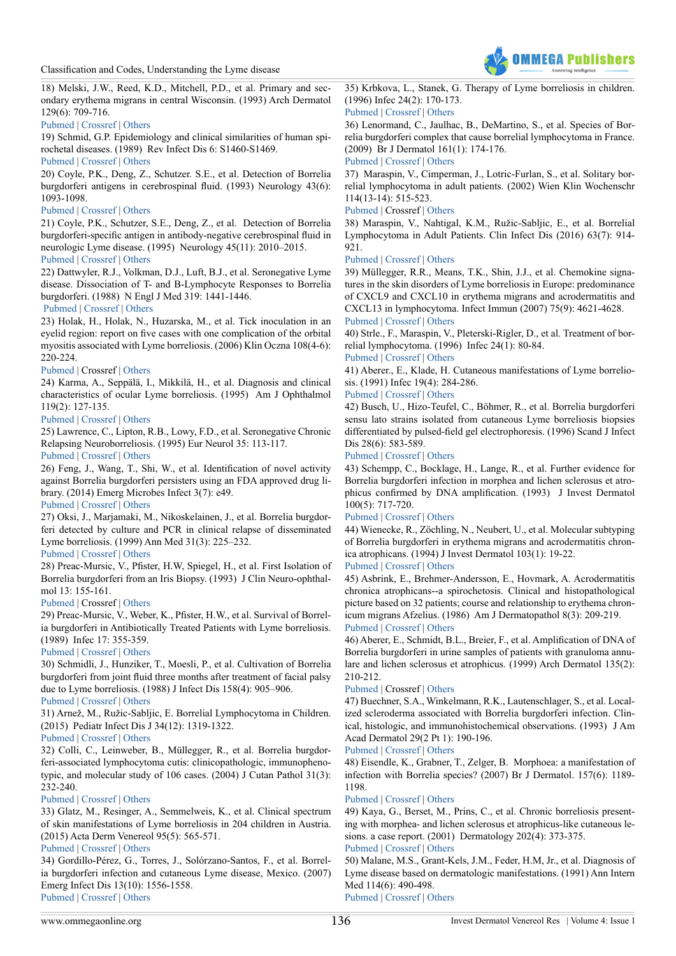

18) Melski, J.W., Reed, K.D., Mitchell, P.D., et al. Primary and secondary erythema migrans in central Wisconsin. (1993) Arch Dermatol 129(6): 709-716.

## [Pubmed](https://www.ncbi.nlm.nih.gov/pubmed/8389536) | [Crossref](https://doi.org/10.1001/archderm.1993.01680270047005) | [Others](https://jamanetwork.com/journals/jamadermatology/article-abstract/554999?redirect=true)

19) Schmid, G.P. Epidemiology and clinical similarities of human spirochetal diseases. (1989) Rev Infect Dis 6: S1460-S1469.

# [Pubmed](https://www.ncbi.nlm.nih.gov/pubmed/2682958) | [Crossref](https://doi.org/10.1093/clinids/11.Supplement_6.S1460) | [Others](https://www.researchgate.net/publication/20473192_Epidemiology_and_Clinical_Similarities_of_Human_Spirochetal_Diseases)

20) Coyle, P.K., Deng, Z., Schutzer. S.E., et al. Detection of Borrelia burgdorferi antigens in cerebrospinal fluid. (1993) Neurology 43(6): 1093-1098.

#### [Pubmed](https://www.ncbi.nlm.nih.gov/pubmed/8170548) | [Crossref](https://doi.org/10.1212/WNL.43.6.1093) | [Others](http://n.neurology.org/content/43/6/1093)

<span id="page-3-0"></span>21) Coyle, P.K., Schutzer, S.E., Deng, Z., et al. Detection of Borrelia burgdorferi-specific antigen in antibody-negative cerebrospinal fluid in neurologic Lyme disease. (1995) Neurology 45(11): 2010–2015. [Pubmed](https://www.ncbi.nlm.nih.gov/pubmed/7501150) | [Crossref](https://doi.org/10.1212/WNL.45.11.2010) | [Others](http://n.neurology.org/content/45/11/2010)

# 22) Dattwyler, R.J., Volkman, D.J., Luft, B.J., et al. Seronegative Lyme disease. Dissociation of T- and B-Lymphocyte Responses to Borrelia burgdorferi. (1988) N Engl J Med 319: 1441-1446.

# [Pubmed](https://www.ncbi.nlm.nih.gov/pubmed/3054554) | [Crossref](https://doi.org/10.1056/NEJM198812013192203) | [Others](https://www.researchgate.net/publication/20100838_Seronegative_Lyme_disease_Dissociation_of_specific_T-_and_B-lymphocyte_responses_to_Borrelia_burgdorferi)

23) Holak, H., Holak, N., Huzarska, M., et al. Tick inoculation in an eyelid region: report on five cases with one complication of the orbital myositis associated with Lyme borreliosis. (2006) Klin Oczna 108(4-6): 220-224.

# [Pubmed](https://www.ncbi.nlm.nih.gov/pubmed/17020000) | Crossref | [Others](http://alzheimerborreliosis.net/wp-content/uploads/2012/10/Lyme-tick-on-the-Eyelid-Poland-5-cases-with-complications.pdf)

24) Karma, A., Seppälä, I., Mikkilä, H., et al. Diagnosis and clinical characteristics of ocular Lyme borreliosis. (1995) Am J Ophthalmol 119(2): 127-135.

## [Pubmed](https://www.ncbi.nlm.nih.gov/pubmed/7832219) | [Crossref](http://dx.doi.org/10.1016/S0002-9394(14)73864-4) | [Others](http://www.ajo.com/article/S0002-9394(14)73864-4/pdf)

25) Lawrence, C., Lipton, R.B., Lowy, F.D., et al. Seronegative Chronic Relapsing Neuroborreliosis. (1995) Eur Neurol 35: 113-117.

[Pubmed](https://www.ncbi.nlm.nih.gov/pubmed/7796837) | [Crossref](https://doi.org/10.1159/000117104) | [Others](https://www.karger.com/Article/PDF/117104)

26) Feng, J., Wang, T., Shi, W., et al. Identification of novel activity against Borrelia burgdorferi persisters using an FDA approved drug library. (2014) Emerg Microbes Infect 3(7): e49.

# [Pubmed](https://www.ncbi.nlm.nih.gov/pubmed/26038747) | [Crossref](https://doi.org/10.1038/emi.2014.53) | [Others](https://www.nature.com/articles/emi201453)

<span id="page-3-1"></span>27) Oksi, J., Marjamaki, M., Nikoskelainen, J., et al. Borrelia burgdorferi detected by culture and PCR in clinical relapse of disseminated Lyme borreliosis. (1999) Ann Med 31(3): 225–232.

# [Pubmed](https://www.ncbi.nlm.nih.gov/pubmed/10442678) | [Crossref](https://doi.org/10.3109/07853899909115982) | [Others](https://www.researchgate.net/publication/12856495_Bowelia_Burgorferi_Detected_by_Culture_and_PCR_in_Clinical_Relapse_of_Disseminated_Lyme_Borreliosis)

28) Preac-Mursic, V., Pfister, H.W, Spiegel, H., et al. First Isolation of Borrelia burgdorferi from an Iris Biopsy. (1993) J Clin Neuro-ophthalmol 13: 155-161.

# [Pubmed](https://www.ncbi.nlm.nih.gov/pubmed/8106639) | Crossref | [Others](http://journals.lww.com/jneuro-ophthalmology/Citation/1993/09000/First_Isolation_of_Borrelia_burgdorferi_from_an.2.aspx)

29) Preac-Mursic, V., Weber, K., Pfister, H.W., et al. Survival of Borrelia burgdorferi in Antibiotically Treated Patients with Lyme borreliosis. (1989) Infec 17: 355-359.

# [Pubmed](https://www.ncbi.nlm.nih.gov/pubmed/2613324) | [Crossref](https://doi.org/10.1007/BF01645543) | [Others](https://link.springer.com/article/10.1007/BF01645543)

30) Schmidli, J., Hunziker, T., Moesli, P., et al. Cultivation of Borrelia burgdorferi from joint fluid three months after treatment of facial palsy due to Lyme borreliosis. (1988) J Infect Dis 158(4): 905–906.

# [Pubmed](https://www.ncbi.nlm.nih.gov/pubmed/3171237) | [Crossref](https://doi.org/10.1093/infdis/158.4.905) | [Others](https://academic.oup.com/jid/article-abstract/158/4/905/897749?redirectedFrom=fulltext)

<span id="page-3-2"></span>31) Arnež, M., Ružic-Sabljic, E. Borrelial Lymphocytoma in Children. (2015) Pediatr Infect Dis J 34(12): 1319-1322.

# [Pubmed](https://www.ncbi.nlm.nih.gov/pubmed/26313568) | [Crossref](https://doi.org/10.1097/INF.0000000000000884) | [Others](https://insights.ovid.com/pubmed?pmid=26313568)

32) Colli, C., Leinweber, B., Müllegger, R., et al. Borrelia burgdorferi-associated lymphocytoma cutis: clinicopathologic, immunophenotypic, and molecular study of 106 cases. (2004) J Cutan Pathol 31(3): 232-240.

# [Pubmed](https://www.ncbi.nlm.nih.gov/pubmed/14984575) | [Crossref](https://doi.org/10.1111/j.0303-6987.2003.00167.x) | [Others](http://onlinelibrary.wiley.com/doi/10.1111/j.0303-6987.2003.00167.x/abstract;jsessionid=C9CA41092DADA2FF974DD7954033EADA.f03t03)

33) Glatz, M., Resinger, A., Semmelweis, K., et al. Clinical spectrum of skin manifestations of Lyme borreliosis in 204 children in Austria. (2015) Acta Derm Venereol 95(5): 565-571.

# [Pubmed](https://www.ncbi.nlm.nih.gov/pubmed/25366035) | [Crossref](https://doi.org/10.2340/00015555-2000) | [Others](https://www.medicaljournals.se/acta/content/abstract/10.2340/00015555-2000)

34) Gordillo-Pérez, G., Torres, J., Solórzano-Santos, F., et al. Borrelia burgdorferi infection and cutaneous Lyme disease, Mexico. (2007) Emerg Infect Dis 13(10): 1556-1558. [Pubmed](https://www.ncbi.nlm.nih.gov/pubmed/18258006) | [Crossref](https://doi.org/10.3201/eid1310.060630) | [Others](https://www.researchgate.net/publication/5594204_Borrelia_burgdorferi_Infection_and_Cutaneous_Lyme_Disease_Mexico)

35) Krbkova, L., Stanek, G. Therapy of Lyme borreliosis in children. (1996) Infec 24(2): 170-173.

# [Pubmed](https://www.ncbi.nlm.nih.gov/pubmed/8740116) | [Crossref](https://doi.org/10.1007/BF01713333) | [Others](https://link.springer.com/article/10.1007/BF01713333)

36) Lenormand, C., Jaulhac, B., DeMartino, S., et al. Species of Borrelia burgdorferi complex that cause borrelial lymphocytoma in France. (2009) Br J Dermatol 161(1): 174-176.

#### [Pubmed](https://www.ncbi.nlm.nih.gov/pubmed/19302068) | [Crossref](https://doi.org/10.1111/j.1365-2133.2009.09100.x) | [Others](http://onlinelibrary.wiley.com/doi/10.1111/j.1365-2133.2009.09100.x/abstract)

37) Maraspin, V., Cimperman, J., Lotric-Furlan, S., et al. Solitary borrelial lymphocytoma in adult patients. (2002) Wien Klin Wochenschr 114(13-14): 515-523.

#### [Pubmed](https://www.ncbi.nlm.nih.gov/pubmed/12422593) | Crossref | [Others](https://www.researchgate.net/publication/11043058_Solitary_borrelial_lymphocytoma_in_adult_patients)

38) Maraspin, V., Nahtigal, K.M., Ružic-Sabljic, E., et al. Borrelial Lymphocytoma in Adult Patients. Clin Infect Dis (2016) 63(7): 914- 921.

# [Pubmed](https://www.ncbi.nlm.nih.gov/pubmed/27334446) | [Crossref](https://doi.org/10.1093/cid/ciw417) | [Others](https://academic.oup.com/cid/article/63/7/914/2389152)

39) Müllegger, R.R., Means, T.K., Shin, J.J., et al. Chemokine signatures in the skin disorders of Lyme borreliosis in Europe: predominance of CXCL9 and CXCL10 in erythema migrans and acrodermatitis and CXCL13 in lymphocytoma. Infect Immun (2007) 75(9): 4621-4628.

# [Pubmed](https://www.ncbi.nlm.nih.gov/pubmed/17606602) | [Crossref](https://doi.org/10.1128/IAI.00263-07) | [Others](http://iai.asm.org/content/75/9/4621.long)

40) Strle., F., Maraspin, V., Pleterski-Rigler, D., et al. Treatment of borrelial lymphocytoma. (1996) Infec 24(1): 80-84.

# [Pubmed](https://www.ncbi.nlm.nih.gov/pubmed/8852477) | [Crossref](https://doi.org/10.1007/BF01780665) | [Others](https://link.springer.com/article/10.1007/BF01780665)

<span id="page-3-3"></span>41) Aberer., E., Klade, H. Cutaneous manifestations of Lyme borreliosis. (1991) Infec 19(4): 284-286.

# [Pubmed](https://www.ncbi.nlm.nih.gov/pubmed/1917047) | [Crossref](https://doi.org/10.1007/BF01644968) | [Others](https://link.springer.com/article/10.1007/BF01644968)

42) Busch, U., Hizo-Teufel, C., Böhmer, R., et al. Borrelia burgdorferi sensu lato strains isolated from cutaneous Lyme borreliosis biopsies differentiated by pulsed-field gel electrophoresis. (1996) Scand J Infect Dis 28(6): 583-589.

#### [Pubmed](https://www.ncbi.nlm.nih.gov/pubmed/9060061) | [Crossref](https://doi.org/10.3109/00365549609037965) | [Others](http://www.tandfonline.com/doi/abs/10.3109/00365549609037965?journalCode=infd19)

43) Schempp, C., Bocklage, H., Lange, R., et al. Further evidence for Borrelia burgdorferi infection in morphea and lichen sclerosus et atrophicus confirmed by DNA amplification. (1993) J Invest Dermatol 100(5): 717-720.

# [Pubmed](https://www.ncbi.nlm.nih.gov/pubmed/8491994) | [Crossref](https://doi.org/10.1111/1523-1747.ep12472369) | [Others](https://www.sciencedirect.com/science/article/pii/S0022202X9390020I)

44) Wienecke, R., Zöchling, N., Neubert, U., et al. Molecular subtyping of Borrelia burgdorferi in erythema migrans and acrodermatitis chronica atrophicans. (1994) J Invest Dermatol 103(1): 19-22.

# [Pubmed](https://www.ncbi.nlm.nih.gov/pubmed/8491994) | [Crossref](https://doi.org/10.1111/1523-1747.ep12472369) | [Others](https://www.sciencedirect.com/science/article/pii/S0022202X9390020I)

45) Asbrink, E., Brehmer-Andersson, E., Hovmark, A. Acrodermatitis chronica atrophicans--a spirochetosis. Clinical and histopathological picture based on 32 patients; course and relationship to erythema chronicum migrans Afzelius. (1986) Am J Dermatopathol 8(3): 209-219. [Pubmed](https://www.ncbi.nlm.nih.gov/pubmed/3728879) | [Crossref](https://doi.org/10.1097/00000372-198606000-00005) | [Others](https://www.researchgate.net/publication/19432815_Acrodermatitis_Chronica_Atrophicans-A_Spirochetosis_Clinical_and_Histopathological_Picture_Based_on_32_Patients_Course_and_Relationship_to_Erythema_Chronicum_Migrans_Afzelius)

<span id="page-3-4"></span>46) Aberer, E., Schmidt, B.L., Breier, F., et al. Amplification of DNA of Borrelia burgdorferi in urine samples of patients with granuloma annulare and lichen sclerosus et atrophicus. (1999) Arch Dermatol 135(2): 210-212.

# [Pubmed](https://www.ncbi.nlm.nih.gov/pubmed/10052416) | Crossref | [Others](https://jamanetwork.com/journals/jamadermatology/article-abstract/477710?redirect=true)

47) Buechner, S.A., Winkelmann, R.K., Lautenschlager, S., et al. Localized scleroderma associated with Borrelia burgdorferi infection. Clinical, histologic, and immunohistochemical observations. (1993) J Am Acad Dermatol 29(2 Pt 1): 190-196.

#### [Pubmed](https://www.ncbi.nlm.nih.gov/pubmed/8335737) | [Crossref](https://doi.org/10.1016/0190-9622(93)70166-Q) | [Others](https://www.sciencedirect.com/science/article/pii/019096229370166Q)

48) Eisendle, K., Grabner, T., Zelger, B. Morphoea: a manifestation of infection with Borrelia species? (2007) Br J Dermatol. 157(6): 1189- 1198.

#### [Pubmed](https://www.ncbi.nlm.nih.gov/pubmed/17941947) | [Crossref](https://doi.org/10.1097/00000372-198606000-00005) | [Others](http://onlinelibrary.wiley.com/doi/10.1111/j.1365-2133.2007.08235.x/abstract)

<span id="page-3-5"></span>49) Kaya, G., Berset, M., Prins, C., et al. Chronic borreliosis presenting with morphea- and lichen sclerosus et atrophicus-like cutaneous lesions. a case report. (2001) Dermatology 202(4): 373-375.

# [Pubmed](https://www.ncbi.nlm.nih.gov/pubmed/11455165) | [Crossref](https://doi.org/10.1159/000051687) | [Others](https://www.karger.com/Article/Abstract/51687)

50) Malane, M.S., Grant-Kels, J.M., Feder, H.M, Jr., et al. Diagnosis of Lyme disease based on dermatologic manifestations. (1991) Ann Intern Med 114(6): 490-498.

[Pubmed](https://www.ncbi.nlm.nih.gov/pubmed/1994797) | [Crossref](https://doi.org/10.7326/0003-4819-114-6-490) | [Others](http://annals.org/aim/article-abstract/704549/diagnosis-lyme-disease-based-dermatologic-manifestations?volume=114&issue=6&page=490)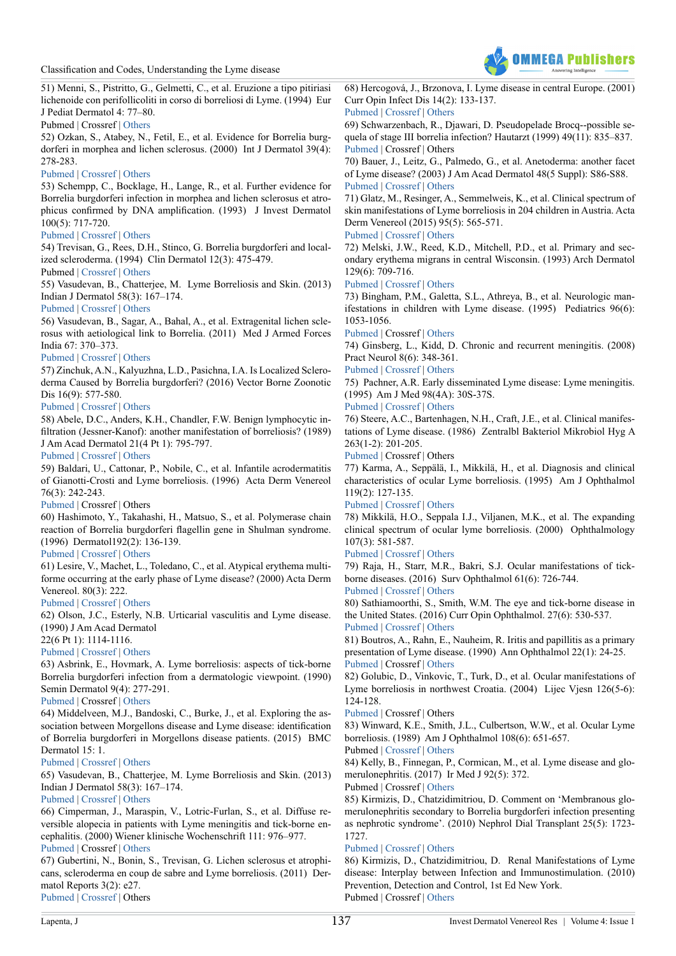

51) Menni, S., Pistritto, G., Gelmetti, C., et al. Eruzione a tipo pitiriasi lichenoide con perifollicoliti in corso di borreliosi di Lyme. (1994) Eur J Pediat Dermatol 4: 77–80.

Pubmed | Crossref | [Others](https://www.scienceopen.com/document?vid=494bd832-20a2-4155-84d0-e20dde2b110c)

<span id="page-4-0"></span>52) Ozkan, S., Atabey, N., Fetil, E., et al. Evidence for Borrelia burgdorferi in morphea and lichen sclerosus. (2000) Int J Dermatol 39(4): 278-283.

#### [Pubmed](https://www.ncbi.nlm.nih.gov/pubmed/10809977) | [Crossref](https://doi.org/10.1046/j.1365-4362.2000.00912.x) | [Others](http://onlinelibrary.wiley.com/doi/10.1046/j.1365-4362.2000.00912.x/abstract)

53) Schempp, C., Bocklage, H., Lange, R., et al. Further evidence for Borrelia burgdorferi infection in morphea and lichen sclerosus et atrophicus confirmed by DNA amplification. (1993) J Invest Dermatol 100(5): 717-720.

#### [Pubmed](https://www.ncbi.nlm.nih.gov/pubmed/8491994) | [Crossref](https://doi.org/10.1111/1523-1747.ep12472369) | [Others](https://www.sciencedirect.com/science/article/pii/S0022202X9390020I)

54) Trevisan, G., Rees, D.H., Stinco, G. Borrelia burgdorferi and localized scleroderma. (1994) Clin Dermatol 12(3): 475-479.

# Pubmed | [Crossref](https://doi.org/10.1016/0738-081X(94)90300-X) | [Others](https://www.sciencedirect.com/science/article/pii/0738081X9490300X)

<span id="page-4-1"></span>55) Vasudevan, B., Chatterjee, M. Lyme Borreliosis and Skin. (2013) Indian J Dermatol 58(3): 167–174.

#### [Pubmed](https://www.ncbi.nlm.nih.gov/pubmed/23723463) | [Crossref](https://doi.org/10.4103/0019-5154.110822) | [Others](http://www.e-ijd.org/article.asp?issn=0019-5154;year=2013;volume=58;issue=3;spage=167;epage=174;aulast=Vasudevan)

56) Vasudevan, B., Sagar, A., Bahal, A., et al. Extragenital lichen sclerosus with aetiological link to Borrelia. (2011) Med J Armed Forces India 67: 370–373.

# [Pubmed](https://www.ncbi.nlm.nih.gov/pubmed/27365852) | [Crossref](http://dx.doi.org/10.1016/S0377-1237(11)60089-0) | [Others](http://www.mjafi.net/article/S0377-1237(11)60089-0/fulltext)

57) Zinchuk, A.N., Kalyuzhna, L.D., Pasichna, I.A. Is Localized Scleroderma Caused by Borrelia burgdorferi? (2016) Vector Borne Zoonotic Dis 16(9): 577-580.

# [Pubmed](https://www.ncbi.nlm.nih.gov/pubmed/27387068) | [Crossref](https://doi.org/10.1089/vbz.2016.2004) | [Others](http://online.liebertpub.com/doi/10.1089/vbz.2016.2004)

<span id="page-4-2"></span>58) Abele, D.C., Anders, K.H., Chandler, F.W. Benign lymphocytic infiltration (Jessner-Kanof): another manifestation of borreliosis? (1989) J Am Acad Dermatol 21(4 Pt 1): 795-797.

#### [Pubmed](https://www.ncbi.nlm.nih.gov/pubmed/2808795) | [Crossref](https://doi.org/10.1016/S0190-9622(89)80273-7) | [Others](https://www.sciencedirect.com/science/article/pii/S0190962289802737)

59) Baldari, U., Cattonar, P., Nobile, C., et al. Infantile acrodermatitis of Gianotti-Crosti and Lyme borreliosis. (1996) Acta Derm Venereol 76(3): 242-243.

[Pubmed](https://www.ncbi.nlm.nih.gov/pubmed/8800310) | Crossref | Others

60) Hashimoto, Y., Takahashi, H., Matsuo, S., et al. Polymerase chain reaction of Borrelia burgdorferi flagellin gene in Shulman syndrome. (1996) Dermatol192(2): 136-139.

# [Pubmed](https://www.ncbi.nlm.nih.gov/pubmed/8829496) | [Crossref](https://doi.org/10.1159/000246339) | [Others](https://www.karger.com/Article/PDF/246339)

61) Lesire, V., Machet, L., Toledano, C., et al. Atypical erythema multiforme occurring at the early phase of Lyme disease? (2000) Acta Derm Venereol. 80(3): 222.

# [Pubmed](https://www.ncbi.nlm.nih.gov/pubmed/10954224) | [Crossref](https://doi.org/10.1080/000155500750043096) | [Others](https://www.medicaljournals.se/acta/content/abstract/10.1080/000155500750043096)

62) Olson, J.C., Esterly, N.B. Urticarial vasculitis and Lyme disease. (1990) J Am Acad Dermatol

22(6 Pt 1): 1114-1116.

# [Pubmed](https://www.ncbi.nlm.nih.gov/pubmed/2370339) | [Crossref](https://doi.org/10.1016/S0190-9622(08)81019-5) | [Others](http://www.sciencedirect.com/science/article/pii/S0190962208810195)

<span id="page-4-3"></span>63) Asbrink, E., Hovmark, A. Lyme borreliosis: aspects of tick-borne Borrelia burgdorferi infection from a dermatologic viewpoint. (1990) Semin Dermatol 9(4): 277-291.

# [Pubmed](https://www.ncbi.nlm.nih.gov/pubmed/2285572) | Crossref | [Others](https://www.researchgate.net/publication/20869655_Lyme_borreliosis_Aspects_of_tick-borne_Borrelia_burgdorferi_infection_from_a_dermatologic_viewpoint)

64) Middelveen, M.J., Bandoski, C., Burke, J., et al. Exploring the association between Morgellons disease and Lyme disease: identification of Borrelia burgdorferi in Morgellons disease patients. (2015) BMC Dermatol 15: 1

# [Pubmed](https://www.ncbi.nlm.nih.gov/pubmed/25879673) | [Crossref](https://doi.org/10.1186/s12895-015-0023-0) | [Others](https://bmcdermatol.biomedcentral.com/articles/10.1186/s12895-015-0023-0)

65) Vasudevan, B., Chatterjee, M. Lyme Borreliosis and Skin. (2013) Indian J Dermatol 58(3): 167–174.

# [Pubmed](https://www.ncbi.nlm.nih.gov/pubmed/23723463) | [Crossref](https://doi.org/10.4103/0019-5154.110822) | [Others](http://www.e-ijd.org/article.asp?issn=0019-5154;year=2013;volume=58;issue=3;spage=167;epage=174;aulast=Vasudevan)

<span id="page-4-4"></span>66) Cimperman, J., Maraspin, V., Lotric-Furlan, S., et al. Diffuse reversible alopecia in patients with Lyme meningitis and tick-borne encephalitis. (2000) Wiener klinische Wochenschrift 111: 976–977.

# [Pubmed](https://www.ncbi.nlm.nih.gov/pubmed/10666812) | Crossref | [Others](https://www.researchgate.net/publication/12648144_Diffuse_reversible_alopecia_in_patients_with_Lyme_meningitis_and_tick-borne_encephalitis)

67) Gubertini, N., Bonin, S., Trevisan, G. Lichen sclerosus et atrophicans, scleroderma en coup de sabre and Lyme borreliosis. (2011) Dermatol Reports 3(2): e27. [Pubmed](https://www.ncbi.nlm.nih.gov/pubmed/25386279) | [Crossref](https://doi.org/10.4081/dr.2011.e27) | Others

68) Hercogová, J., Brzonova, I. Lyme disease in central Europe. (2001) Curr Opin Infect Dis 14(2): 133-137.

# [Pubmed](https://www.ncbi.nlm.nih.gov/pubmed/11979122) | [Crossref](https://doi.org/10.1097/00001432-200104000-00004) | [Others](https://www.researchgate.net/publication/11390532_Lyme_disease_in_central_Europe)

69) Schwarzenbach, R., Djawari, D. Pseudopelade Brocq--possible sequela of stage III borrelia infection? Hautarzt (1999) 49(11): 835–837. [Pubmed](https://www.ncbi.nlm.nih.gov/pubmed/9879482) | Crossref | Others

<span id="page-4-5"></span>70) Bauer, J., Leitz, G., Palmedo, G., et al. Anetoderma: another facet of Lyme disease? (2003) J Am Acad Dermatol 48(5 Suppl): S86-S88. [Pubmed](https://www.ncbi.nlm.nih.gov/pubmed/12734487) | [Crossref](https://doi.org/10.1067/mjd.2003.165) | [Others](https://www.researchgate.net/publication/10770200_Anetoderma_Another_facet_of_Lyme_disease)

71) Glatz, M., Resinger, A., Semmelweis, K., et al. Clinical spectrum of skin manifestations of Lyme borreliosis in 204 children in Austria. Acta Derm Venereol (2015) 95(5): 565-571.

# [Pubmed](https://www.ncbi.nlm.nih.gov/pubmed/25366035) | [Crossref](https://doi.org/10.2340/00015555-2000) | [Others](https://www.medicaljournals.se/acta/content/abstract/10.2340/00015555-2000/%5d)

72) Melski, J.W., Reed, K.D., Mitchell, P.D., et al. Primary and secondary erythema migrans in central Wisconsin. (1993) Arch Dermatol 129(6): 709-716.

#### [Pubmed](https://www.ncbi.nlm.nih.gov/pubmed/8389536) | [Crossref](https://doi.org/10.1001/archderm.1993.01680270047005) | [Others](https://jamanetwork.com/journals/jamadermatology/article-abstract/554999?redirect=true)

<span id="page-4-6"></span>73) Bingham, P.M., Galetta, S.L., Athreya, B., et al. Neurologic manifestations in children with Lyme disease. (1995) Pediatrics 96(6): 1053-1056.

#### [Pubmed](https://www.ncbi.nlm.nih.gov/pubmed/7491220) | Crossref | [Others](http://pediatrics.aappublications.org/content/96/6/1053.long?sso=1&sso_redirect_count=1&nfstatus=401&nftoken=00000000-0000-0000-0000-000000000000&nfstatusdescription=ERROR%3a+No+local+token)

74) Ginsberg, L., Kidd, D. Chronic and recurrent meningitis. (2008) Pract Neurol 8(6): 348-361.

# [Pubmed](https://www.ncbi.nlm.nih.gov/pubmed/19015295) | [Crossref](http://dx.doi.org/10.1136/jnnp.2008.157396) | [Others](http://pn.bmj.com/content/8/6/348.long)

75) Pachner, A.R. Early disseminated Lyme disease: Lyme meningitis. (1995) Am J Med 98(4A): 30S-37S.

#### [Pubmed](https://www.ncbi.nlm.nih.gov/pubmed/7726190) | [Crossref](https://doi.org/10.1016/S0002-9343(99)80042-4) | [Others](https://www.sciencedirect.com/science/article/pii/S0002934399800424)

76) Steere, A.C., Bartenhagen, N.H., Craft, J.E., et al. Clinical manifestations of Lyme disease. (1986) Zentralbl Bakteriol Mikrobiol Hyg A 263(1-2): 201-205.

[Pubmed](https://www.ncbi.nlm.nih.gov/pubmed/3554839) | Crossref | Others

77) Karma, A., Seppälä, I., Mikkilä, H., et al. Diagnosis and clinical characteristics of ocular Lyme borreliosis. (1995) Am J Ophthalmol 119(2): 127-135.

# [Pubmed](https://www.ncbi.nlm.nih.gov/pubmed/7832219) | [Crossref](http://dx.doi.org/10.1016/S0002-9394(14)73864-4) | [Others](http://www.ajo.com/article/S0002-9394(14)73864-4/pdf)

78) Mikkilä, H.O., Seppala I.J., Viljanen, M.K., et al. The expanding clinical spectrum of ocular lyme borreliosis. (2000) Ophthalmology 107(3): 581-587.

# [Pubmed](https://www.ncbi.nlm.nih.gov/pubmed/10711899) | [Crossref](http://dx.doi.org/10.1016/S0161-6420(99)00128-1) | [Others](http://www.aaojournal.org/article/S0161-6420(99)00128-1/fulltext)

79) Raja, H., Starr, M.R., Bakri, S.J. Ocular manifestations of tickborne diseases. (2016) Surv Ophthalmol 61(6): 726-744. [Pubmed](https://www.ncbi.nlm.nih.gov/pubmed/27060746) | [Crossref](http://dx.doi.org/10.1016/j.survophthal.2016.03.011) | [Others](http://www.surveyophthalmol.com/article/S0039-6257(16)30049-2/fulltext)

80) Sathiamoorthi, S., Smith, W.M. The eye and tick-borne disease in the United States. (2016) Curr Opin Ophthalmol. 27(6): 530-537. [Pubmed](https://www.ncbi.nlm.nih.gov/pubmed/27585218) | [Crossref](https://doi.org/10.1097/ICU.0000000000000308) | [Others](https://insights.ovid.com/pubmed?pmid=27585218)

81) Boutros, A., Rahn, E., Nauheim, R. Iritis and papillitis as a primary presentation of Lyme disease. (1990) Ann Ophthalmol 22(1): 24-25. [Pubmed](https://www.ncbi.nlm.nih.gov/pubmed/2310116) | Crossref | [Others](https://www.researchgate.net/publication/20846202_Iritis_and_papillitis_as_a_primary_presentation_of_Lyme_disease)

82) Golubic, D., Vinkovic, T., Turk, D., et al. Ocular manifestations of Lyme borreliosis in northwest Croatia. (2004) Lijec Vjesn 126(5-6): 124-128.

[Pubmed](https://www.ncbi.nlm.nih.gov/pubmed/15628679) | Crossref | Others

83) Winward, K.E., Smith, J.L., Culbertson, W.W., et al. Ocular Lyme borreliosis. (1989) Am J Ophthalmol 108(6): 651-657. Pubmed | [Crossref](https://doi.org/10.1016/0002-9394(89)90856-8) | [Others](http://www.sciencedirect.com/science/article/pii/0002939489908568)

<span id="page-4-7"></span>84) Kelly, B., Finnegan, P., Cormican, M., et al. Lyme disease and glomerulonephritis. (2017) Ir Med J 92(5): 372.

Pubmed | Crossref | [Others](http://archive.imj.ie/ViewArticleDetails.aspx?ContentID=2119)

85) Kirmizis, D., Chatzidimitriou, D. Comment on 'Membranous glomerulonephritis secondary to Borrelia burgdorferi infection presenting as nephrotic syndrome'. (2010) Nephrol Dial Transplant 25(5): 1723- 1727.

# [Pubmed](https://www.ncbi.nlm.nih.gov/pubmed/20147284) | [Crossref](https://doi.org/10.1093/ndt/gfq028) | [Others](https://academic.oup.com/ndt/article/25/5/1723/1843043)

86) Kirmizis, D., Chatzidimitriou, D. Renal Manifestations of Lyme disease: Interplay between Infection and Immunostimulation. (2010) Prevention, Detection and Control, 1st Ed New York. Pubmed | Crossref | [Others](https://www.novapublishers.com/catalog/product_info.php?products_id=13868&osCsid=c989468403befb9301f24dd5f2e07824)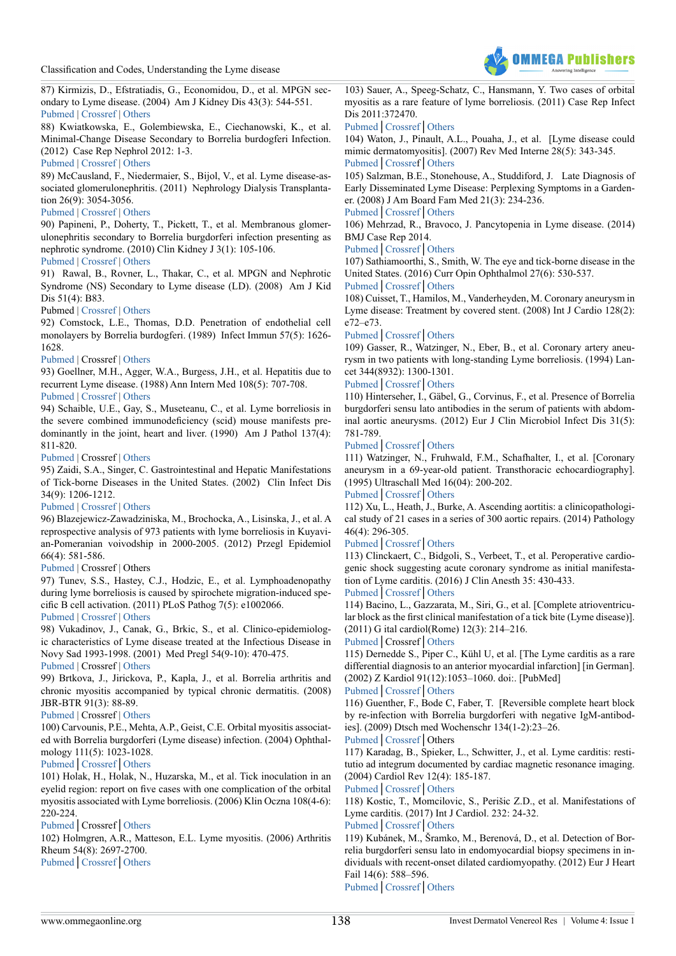

87) Kirmizis, D., Efstratiadis, G., Economidou, D., et al. MPGN secondary to Lyme disease. (2004) Am J Kidney Dis 43(3): 544-551. [Pubmed](https://www.ncbi.nlm.nih.gov/pubmed/14981613) | [Crossref](http://dx.doi.org/10.1053/j.ajkd.2003.11.014) | [Others](http://www.ajkd.org/article/S0272-6386(03)01514-2/fulltext)

88) Kwiatkowska, E., Golembiewska, E., Ciechanowski, K., et al. Minimal-Change Disease Secondary to Borrelia burdogferi Infection. (2012) Case Rep Nephrol 2012: 1-3.

#### [Pubmed](https://www.ncbi.nlm.nih.gov/pubmed/24527240) | [Crossref](http://dx.doi.org/10.1155/2012/294532) | [Others](https://www.hindawi.com/journals/crin/2012/294532/)

89) McCausland, F., Niedermaier, S., Bijol, V., et al. Lyme disease-associated glomerulonephritis. (2011) Nephrology Dialysis Transplantation 26(9): 3054-3056.

# [Pubmed](https://www.ncbi.nlm.nih.gov/pubmed/21750163) | [Crossref](https://doi.org/10.1093/ndt/gfr335) | [Others](https://academic.oup.com/ndt/article/26/9/3054/1819994)

90) Papineni, P., Doherty, T., Pickett, T., et al. Membranous glomerulonephritis secondary to Borrelia burgdorferi infection presenting as nephrotic syndrome. (2010) Clin Kidney J 3(1): 105-106.

# [Pubmed](https://www.ncbi.nlm.nih.gov/pubmed/25984044) | [Crossref](https://doi.org/10.1093/ndt/gfq028) | [Others](https://academic.oup.com/ndt/article/25/5/1723/1843043)

91) Rawal, B., Rovner, L., Thakar, C., et al. MPGN and Nephrotic Syndrome (NS) Secondary to Lyme disease (LD). (2008) Am J Kid Dis 51(4): B83.

#### Pubmed | [Crossref](https://doi.org/10.1053/j.ajkd.2008.02.231) | [Others](http://www.sciencedirect.com/science/article/pii/S0272638608004022)

92) Comstock, L.E., Thomas, D.D. Penetration of endothelial cell monolayers by Borrelia burdogferi. (1989) Infect Immun 57(5): 1626- 1628.

#### [Pubmed](https://www.ncbi.nlm.nih.gov/pubmed/2707862) | Crossref | [Others](http://iai.asm.org/content/57/5/1626.long)

93) Goellner, M.H., Agger, W.A., Burgess, J.H., et al. Hepatitis due to recurrent Lyme disease. (1988) Ann Intern Med 108(5): 707-708.

# [Pubmed](https://www.ncbi.nlm.nih.gov/pubmed/3358572) | [Crossref](https://doi.org/10.7326/0003-4819-108-5-707) | [Others](http://annals.org/aim/article-abstract/701441/hepatitis-due-recurrent-lyme-disease?volume=108&issue=5&page=707)

94) Schaible, U.E., Gay, S., Museteanu, C., et al. Lyme borreliosis in the severe combined immunodeficiency (scid) mouse manifests predominantly in the joint, heart and liver. (1990) Am J Pathol 137(4): 811-820.

#### [Pubmed](https://www.ncbi.nlm.nih.gov/pubmed/2221014) | Crossref | [Others](https://www.researchgate.net/publication/20935075_Lyme_borreliosis_in_the_severe_combined_immunodeficiency_scid_mouse_manifests_predominantly_in_the_joints_heart_and_liver)

95) Zaidi, S.A., Singer, C. Gastrointestinal and Hepatic Manifestations of Tick-borne Diseases in the United States. (2002) Clin Infect Dis 34(9): 1206-1212.

# [Pubmed](https://www.ncbi.nlm.nih.gov/pubmed/11941547) | [Crossref](https://doi.org/10.1086/339871) | [Others](https://academic.oup.com/cid/article/34/9/1206/462641)

96) Blazejewicz-Zawadziniska, M., Brochocka, A., Lisinska, J., et al. A reprospective analysis of 973 patients with lyme borreliosis in Kuyavian-Pomeranian voivodship in 2000-2005. (2012) Przegl Epidemiol 66(4): 581-586.

#### [Pubmed](https://www.ncbi.nlm.nih.gov/pubmed/23484384) | Crossref | Others

97) Tunev, S.S., Hastey, C.J., Hodzic, E., et al. Lymphoadenopathy during lyme borreliosis is caused by spirochete migration-induced specific B cell activation. (2011) PLoS Pathog 7(5): e1002066.

#### [Pubmed](https://www.ncbi.nlm.nih.gov/pubmed/21637808) | [Crossref](https://doi.org/10.1371/journal.ppat.1002066) | [Others](http://journals.plos.org/plospathogens/article?id=10.1371/journal.ppat.1002066)

98) Vukadinov, J., Canak, G., Brkic, S., et al. Clinico-epidemiologic characteristics of Lyme disease treated at the Infectious Disease in Novy Sad 1993-1998. (2001) Med Pregl 54(9-10): 470-475.

#### [Pubmed](https://www.ncbi.nlm.nih.gov/pubmed/11876010) | Crossref | [Others](https://www.researchgate.net/publication/11486705_Clinico-epidemiologic_characteristics_of_Lyme_disease_treated_at_the_Infectious_Disease_in_Novy_Sad_1993-1998)

99) Brtkova, J., Jirickova, P., Kapla, J., et al. Borrelia arthritis and chronic myositis accompanied by typical chronic dermatitis. (2008) JBR-BTR 91(3): 88-89.

# [Pubmed](https://www.ncbi.nlm.nih.gov/pubmed/18661710) | Crossref | [Others](https://www.researchgate.net/publication/51432472_Borrelia_arthritis_and_chronic_myositis_accompanied_by_typical_chronic_dermatitis)

100) Carvounis, P.E., Mehta, A.P., Geist, C.E. Orbital myositis associated with Borrelia burgdorferi (Lyme disease) infection. (2004) Ophthalmology 111(5): 1023-1028.

# [Pubmed](https://www.ncbi.nlm.nih.gov/pubmed/?term=Orbital+myositis+associated+with+Borrelia+burgdorferi+(Lyme+disease)+infection+Ophthalmology.)│[Crossref](https://doi.org/10.1016/j.ophtha.2003.08.032.)│[Others](https://www.aaojournal.org/article/S0161-6420(03)01732-9/ppt)

101) Holak, H., Holak, N., Huzarska, M., et al. Tick inoculation in an eyelid region: report on five cases with one complication of the orbital myositis associated with Lyme borreliosis. (2006) Klin Oczna 108(4-6): 220-224.

# [Pubmed](https://www.ncbi.nlm.nih.gov/pubmed/17020000)│Crossref│[Others](http://alzheimerborreliosis.net/wp-content/uploads/2012/10/Lyme-tick-on-the-Eyelid-Poland-5-cases-with-complications.pdf)

102) Holmgren, A.R., Matteson, E.L. Lyme myositis. (2006) Arthritis Rheum 54(8): 2697-2700.

[Pubmed](https://www.ncbi.nlm.nih.gov/pubmed/16871548)│[Crossref](https://doi.org/10.1002/art.22007)│[Others](http://onlinelibrary.wiley.com/doi/10.1002/art.22007/pdf)

103) Sauer, A., Speeg-Schatz, C., Hansmann, Y. Two cases of orbital myositis as a rare feature of lyme borreliosis. (2011) Case Rep Infect Dis 2011:372470.

# [Pubmed](https://www.ncbi.nlm.nih.gov/pubmed/22567470)│[Crossref](https://doi.org/10.1155/2011/372470)│[Others](https://www.hindawi.com/journals/criid/2011/372470/)

104) Waton, J., Pinault, A.L., Pouaha, J., et al. [Lyme disease could mimic dermatomyositis]. (2007) Rev Med Interne 28(5): 343-345. [Pubmed](https://www.ncbi.nlm.nih.gov/pubmed/17337098)│[Crossre](https://doi.org/10.1016/j.revmed.2007.01.002)f│[Others](https://www.researchgate.net/publication/6469903_Lyme_disease_could_mimic_dermatomyositis)

105) Salzman, B.E., Stonehouse, A., Studdiford, J. Late Diagnosis of Early Disseminated Lyme Disease: Perplexing Symptoms in a Gardener. (2008) J Am Board Fam Med 21(3): 234-236.

#### [Pubmed](https://www.ncbi.nlm.nih.gov/pubmed/18467535)│[Crossref](https://doi.org/10.3122/jabfm.2008.03.070196)│[Others](http://www.jabfm.org/content/21/3/234.short)

106) Mehrzad, R., Bravoco, J. Pancytopenia in Lyme disease. (2014) BMJ Case Rep 2014.

#### [Pubmed](https://www.ncbi.nlm.nih.gov/pubmed/24596410)│[Crossref](https://doi.org/10.1136/bcr-2013-201079)│[Others](https://www.researchgate.net/publication/260528922_Pancytopenia_in_Lyme_disease)

107) Sathiamoorthi, S., Smith, W. The eye and tick-borne disease in the United States. (2016) Curr Opin Ophthalmol 27(6): 530-537. [Pubmed](https://www.ncbi.nlm.nih.gov/pubmed/27585218)│[Crossref](https://doi.org/10.1097/ICU.0000000000000308)│[Others](http://www.visavissymposiums.org/the-eye-and-tick-borne-disease/)

# <span id="page-5-0"></span>108) Cuisset, T., Hamilos, M., Vanderheyden, M. Coronary aneurysm in Lyme disease: Treatment by covered stent. (2008) Int J Cardio 128(2):

e72–e73.

# [Pubmed](https://www.ncbi.nlm.nih.gov/pubmed/?term=Coronary+aneurysm+in+Lyme+disease%3A+Treatment+by+covered+stent.)│[Crossref](https://doi.org/10.1016/j.ijcard.2007.04.163)│[Others](http://www.internationaljournalofcardiology.com/article/S0167-5273(07)01292-2/abstract)

109) Gasser, R., Watzinger, N., Eber, B., et al. Coronary artery aneurysm in two patients with long-standing Lyme borreliosis. (1994) Lancet 344(8932): 1300-1301.

# [Pubmed](https://www.ncbi.nlm.nih.gov/pubmed/?term=Coronary+artery+aneurysm+in+two+patients+with+long-standing+Lyme+borreliosis.)│[Crossref](https://doi.org/10.1016/s0140-6736(94)90789-7)│[Others](http://www.thelancet.com/journals/lancet/article/PIIS0140-6736(94)90789-7/abstract)

110) Hinterseher, I., Gäbel, G., Corvinus, F., et al. Presence of Borrelia burgdorferi sensu lato antibodies in the serum of patients with abdominal aortic aneurysms. (2012) Eur J Clin Microbiol Infect Dis 31(5): 781-789.

# [Pubmed](https://www.ncbi.nlm.nih.gov/pubmed/?term=10.1007%2Fs10096-011-1375-y.)│[Crossref](https://doi.org/10.1007/s10096-011-1375-y)│[Others](https://link.springer.com/article/10.1007/s10096-011-1375-y)

111) Watzinger, N., Fruhwald, F.M., Schafhalter, I., et al. [Coronary aneurysm in a 69-year-old patient. Transthoracic echocardiography]. (1995) Ultraschall Med 16(04): 200-202.

# [Pubmed](https://www.ncbi.nlm.nih.gov/pubmed/?term=10.1055%2Fs-2007-1003939.)│[Crossref](https://doi.org/10.1055/s-2007-1003939)│[Others](https://geoscience.net/research/042/684/042684072.php)

112) Xu, L., Heath, J., Burke, A. Ascending aortitis: a clinicopathological study of 21 cases in a series of 300 aortic repairs. (2014) Pathology 46(4): 296-305.

# [Pubmed](https://www.ncbi.nlm.nih.gov/pubmed/?term=10.1097%2FPAT.0000000000000096)│[Crossref](https://doi.org/10.1097/PAT.0000000000000096)│[Others](http://www.pathologyjournal.rcpa.edu.au/article/S0031-3025(16)30577-3/pdf)

113) Clinckaert, C., Bidgoli, S., Verbeet, T., et al. Peroperative cardiogenic shock suggesting acute coronary syndrome as initial manifestation of Lyme carditis. (2016) J Clin Anesth 35: 430-433.

# [Pubmed](https://www.ncbi.nlm.nih.gov/pubmed/?term=10.1016%2Fj.jclinane.2016.08.005.)│[Crossref](https://doi.org/10.1016/j.jclinane.2016.08.005)│[Others](https://www.researchgate.net/publication/309230238_Peroperative_cardiogenic_shock_suggesting_acute_coronary_syndrome_as_initial_manifestation_of_Lyme_carditis)

114) Bacino, L., Gazzarata, M., Siri, G., et al. [Complete atrioventricular block as the first clinical manifestation of a tick bite (Lyme disease)]. (2011) G ital cardiol(Rome) 12(3): 214–216.

# [Pubmed](https://www.ncbi.nlm.nih.gov/pubmed/?term=%5BComplete+atrioventricular+block+as+the+first+clinical+manifestation+of+a+tick+bite+(Lyme+disease)%5D)│Crossref│[Others](https://www.researchgate.net/publication/51115487_Complete_atrioventricular_block_as_the_first_clinical_manifestation_of_a_tick_bite_Lyme_disease)

115) Dernedde S., Piper C., Kühl U, et al. [The Lyme carditis as a rare differential diagnosis to an anterior myocardial infarction] [in German]. (2002) Z Kardiol 91(12):1053–1060. doi:. [PubMed]

#### [Pubmed](https://www.ncbi.nlm.nih.gov/pubmed/?term=10.1007%2Fs00392-002-0873-4)│[Crossref](https://doi.org/10.1007/s00392-002-0873-4)│[Others](https://link.springer.com/article/10.1007%2Fs00392-002-0873-4)

116) Guenther, F., Bode C, Faber, T. [Reversible complete heart block by re-infection with Borrelia burgdorferi with negative IgM-antibodies]. (2009) Dtsch med Wochenschr 134(1-2):23–26.

# [Pubmed](https://www.ncbi.nlm.nih.gov/pubmed/?term=Reversible+complete+heart+block+by+re-infection+with+Borrelia+burgdorferi+with+negative+IgM-antibodies)│[Crossref](https://doi.org/10.1055/s-0028-1105885)│Others

117) Karadag, B., Spieker, L., Schwitter, J., et al. Lyme carditis: restitutio ad integrum documented by cardiac magnetic resonance imaging. (2004) Cardiol Rev 12(4): 185-187.

# [Pubmed](https://www.ncbi.nlm.nih.gov/pubmed/?term=Lyme+carditis%3A+restitutio+ad+integrum+documented+by+cardiac+magnetic+resonance+imaging.+Cardiology+in+Review.)│[Crossref](https://doi.org/10.1097/01.crd.0000123841.02777.5d)│[Others](http://journals.lww.com/cardiologyinreview/Abstract/2004/07000/Lyme_Carditis__Restitutio_Ad_Integrum_Documented.2.aspx)

118) Kostic, T., Momcilovic, S., Perišic Z.D., et al. Manifestations of Lyme carditis. (2017) Int J Cardiol. 232: 24-32.

# [Pubmed](https://www.ncbi.nlm.nih.gov/pubmed/28082088)│[Crossref](https://doi.org/10.1016/j.ijcard.2016.12.169)│[Others](http://www.internationaljournalofcardiology.com/article/S0167-5273(16)34820-3/abstract)

119) Kubánek, M., Šramko, M., Berenová, D., et al. Detection of Borrelia burgdorferi sensu lato in endomyocardial biopsy specimens in individuals with recent-onset dilated cardiomyopathy. (2012) Eur J Heart Fail 14(6): 588–596.

[Pubmed](https://www.ncbi.nlm.nih.gov/pubmed/?term=Detection+of+Borrelia+burgdorferi+sensu+lato+in+endomyocardial+biopsy+specimens+in+individuals+with+recent-onset+dilated+cardiomyopathy.)│[Crossref](https://doi.org/10.1093/eurjhf/hfs027)│[Others](http://onlinelibrary.wiley.com/doi/10.1093/eurjhf/hfs027/full)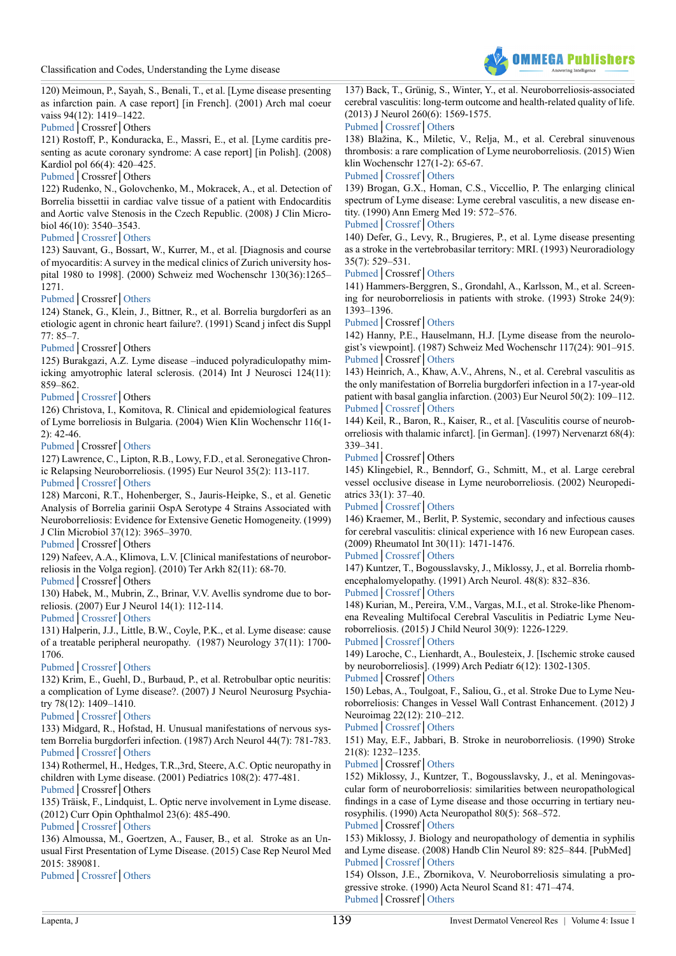Classification and Codes, Understanding the Lyme disease



120) Meimoun, P., Sayah, S., Benali, T., et al. [Lyme disease presenting as infarction pain. A case report] [in French]. (2001) Arch mal coeur vaiss 94(12): 1419–1422.

[Pubmed](https://www.ncbi.nlm.nih.gov/pubmed/?term=Lyme+disease+presenting+as+infarction+pain.+A+case+report)│Crossref│Others

121) Rostoff, P., Konduracka, E., Massri, E., et al. [Lyme carditis presenting as acute coronary syndrome: A case report] [in Polish]. (2008) Kardiol pol 66(4): 420–425.

[Pubmed](https://www.ncbi.nlm.nih.gov/pubmed/18473271)│Crossref│Others

122) Rudenko, N., Golovchenko, M., Mokracek, A., et al. Detection of Borrelia bissettii in cardiac valve tissue of a patient with Endocarditis and Aortic valve Stenosis in the Czech Republic. (2008) J Clin Microbiol 46(10): 3540–3543.

#### [Pubmed](https://www.ncbi.nlm.nih.gov/pubmed/18650352)│[Crossref](https://doi.org/10.1128/jcm.01032-08)│[Others](http://jcm.asm.org/content/46/10/3540)

123) Sauvant, G., Bossart, W., Kurrer, M., et al. [Diagnosis and course of myocarditis: A survey in the medical clinics of Zurich university hospital 1980 to 1998]. (2000) Schweiz med Wochenschr 130(36):1265– 1271.

#### [Pubmed](https://www.ncbi.nlm.nih.gov/pubmed/?term=%5BDiagnosis+and+course+of+myocarditis%3A+A+survey+in+the+medical+clinics+of+Zurich+university+hospital+1980+to+1998%5D)│Crossref│[Others](https://www.researchgate.net/publication/12296643_Diagnosis_and_course_of_myocarditis_a_survey_in_the_Medical_Clinics_of_Zurich_University_Hospital_1980-1998)

124) Stanek, G., Klein, J., Bittner, R., et al. Borrelia burgdorferi as an etiologic agent in chronic heart failure?. (1991) Scand j infect dis Suppl 77: 85–7.

# [Pubmed](https://www.ncbi.nlm.nih.gov/pubmed/?term=Borrelia+burgdorferi+as+an+etiologic+agent+in+chronic+heart+failure%3F+Scandinavian+journal+of+infectious+diseases.+Supplementum.)│Crossref│Others

125) Burakgazi, A.Z. Lyme disease –induced polyradiculopathy mimicking amyotrophic lateral sclerosis. (2014) Int J Neurosci 124(11): 859–862.

#### [Pubmed](https://www.ncbi.nlm.nih.gov/pubmed/?term=10.3109%2F00207454.2013.879582)│[Crossref](https://doi.org/10.3109/00207454.2013.879582)│Others

126) Christova, I., Komitova, R. Clinical and epidemiological features of Lyme borreliosis in Bulgaria. (2004) Wien Klin Wochenschr 116(1- 2): 42-46.

# [Pubmed](https://www.ncbi.nlm.nih.gov/pubmed/15030123)│Crossref│[Others](https://link.springer.com/article/10.1007/BF03040423)

127) Lawrence, C., Lipton, R.B., Lowy, F.D., et al. Seronegative Chronic Relapsing Neuroborreliosis. (1995) Eur Neurol 35(2): 113-117.

[Pubmed](https://www.ncbi.nlm.nih.gov/pubmed/7796837)│[Crossref](https://doi.org/10.1159/000117104)│[Others](https://www.karger.com/Article/PDF/117104)

128) Marconi, R.T., Hohenberger, S., Jauris-Heipke, S., et al. Genetic Analysis of Borrelia garinii OspA Serotype 4 Strains Associated with Neuroborreliosis: Evidence for Extensive Genetic Homogeneity. (1999) J Clin Microbiol 37(12): 3965–3970.

[Pubmed](https://www.ncbi.nlm.nih.gov/pubmed/?term=Genetic+Analysis+of+Borrelia+garinii+OspA+Serotype+4+Strains+Associated+with+Neuroborreliosis%3A+Evidence+for+Extensive+Genetic+Homogeneity.)│Crossref│Others

<span id="page-6-0"></span>129) Nafeev, A.A., Klimova, L.V. [Clinical manifestations of neuroborreliosis in the Volga region]. (2010) Ter Arkh 82(11): 68-70.

[Pubmed](https://www.ncbi.nlm.nih.gov/pubmed/?term=%5BClinical+manifestations+of+neuroborreliosis+in+the+Volga+region%5D.+%5BArticle+in+Russian%5D.)│Crossref│Others

130) Habek, M., Mubrin, Z., Brinar, V.V. Avellis syndrome due to borreliosis. (2007) Eur J Neurol 14(1): 112-114.

[Pubmed](https://www.ncbi.nlm.nih.gov/pubmed/?term=Avellis+syndrome+due+to+borreliosis)│[Crossref](https://doi.org/10.1111/j.1468-1331.2006.01528.x)│[Others](http://onlinelibrary.wiley.com/doi/10.1111/j.1468-1331.2006.01528.x/full)

131) Halperin, J.J., Little, B.W., Coyle, P.K., et al. Lyme disease: cause of a treatable peripheral neuropathy. (1987) Neurology 37(11): 1700- 1706.

# [Pubmed](https://www.ncbi.nlm.nih.gov/pubmed/3670609)│[Crossref](https://doi.org/10.1212/WNL.37.11.1700)│[Others](https://www.researchgate.net/publication/19490544_Lyme_disease_Cause_of_a_treatable_peripheral_neuropathy)

132) Krim, E., Guehl, D., Burbaud, P., et al. Retrobulbar optic neuritis: a complication of Lyme disease?. (2007) J Neurol Neurosurg Psychiatry 78(12): 1409–1410.

[Pubmed](https://www.ncbi.nlm.nih.gov/pubmed/18024698)│[Crossref](https://doi.org/10.1136/jnnp.2006.113761)│[Others](http://jnnp.bmj.com/content/78/12/1409)

133) Midgard, R., Hofstad, H. Unusual manifestations of nervous system Borrelia burgdorferi infection. (1987) Arch Neurol 44(7): 781-783. [Pubmed](https://www.ncbi.nlm.nih.gov/pubmed/3036051)│[Crossref](https://doi.org/10.1001/archneur.1987.00520190085021)│[Others](https://jamanetwork.com/journals/jamaneurology/article-abstract/586654?redirect=true)

134) Rothermel, H., Hedges, T.R.,3rd, Steere, A.C. Optic neuropathy in children with Lyme disease. (2001) Pediatrics 108(2): 477-481.

[Pubmed](https://www.ncbi.nlm.nih.gov/pubmed/11483820)│Crossref│Others

135) Träisk, F., Lindquist, L. Optic nerve involvement in Lyme disease. (2012) Curr Opin Ophthalmol 23(6): 485-490.

# [Pubmed](https://www.ncbi.nlm.nih.gov/pubmed/23047166)│[Crossref](https://doi.org/10.1097/ICU.0b013e328358b1eb)│[Others](https://www.researchgate.net/publication/232225172_Optic_nerve_involvement_in_Lyme_disease)

136) Almoussa, M., Goertzen, A., Fauser, B., et al. Stroke as an Unusual First Presentation of Lyme Disease. (2015) Case Rep Neurol Med 2015: 389081.

[Pubmed](https://www.ncbi.nlm.nih.gov/pubmed/?term=Stroke+as+an+Unusual+First+Presentation+of+Lyme+Disease.)│[Crossref](https://doi.org/10.1155/2015/389081)│[Others](https://www.hindawi.com/journals/crinm/2015/389081/)

137) Back, T., Grünig, S., Winter, Y., et al. Neuroborreliosis-associated cerebral vasculitis: long-term outcome and health-related quality of life. (2013) J Neurol 260(6): 1569-1575.

[Pubmed](https://www.ncbi.nlm.nih.gov/pubmed/?term=Neuroborreliosis-associated+cerebral+vasculitis%3A+long-term+outcome+and+health-related+quality+of+life)│[Crossref](https://doi.org/10.1007/s00415-013-6831-4)│[Others](https://link.springer.com/article/10.1007/s00415-013-6831-4) 138) Blažina, K., Miletic, V., Relja, M., et al. Cerebral sinuvenous thrombosis: a rare complication of Lyme neuroborreliosis. (2015) Wien klin Wochenschr 127(1-2): 65-67.

# [Pubmed](https://www.ncbi.nlm.nih.gov/pubmed/?term=Cerebral+sinuvenous+thrombosis%3A+a+rare+complication+of+Lyme+neuroborreliosis.)│[Crossref](https://doi.org/10.1007/s00508-014-0622-5)│[Others](https://link.springer.com/article/10.1007/s00508-014-0622-5)

139) Brogan, G.X., Homan, C.S., Viccellio, P. The enlarging clinical spectrum of Lyme disease: Lyme cerebral vasculitis, a new disease entity. (1990) Ann Emerg Med 19: 572–576.

# [Pubmed](https://www.ncbi.nlm.nih.gov/pubmed/?term=The+enlarging+clinical+spectrum+of+Lyme+disease%3A+Lyme+cerebral+vasculitis%2C+a+new+disease+entity.)│[Crossref](https://doi.org/10.1016/S0196-0644(05)83017-3)│[Others](https://www.sciencedirect.com/science/article/pii/S0196064405830173)

140) Defer, G., Levy, R., Brugieres, P., et al. Lyme disease presenting as a stroke in the vertebrobasilar territory: MRI. (1993) Neuroradiology 35(7): 529–531.

#### [Pubmed](https://www.ncbi.nlm.nih.gov/pubmed/?term=Lyme+disease+presenting+as+a+stroke+in+the+vertebrobasilar+territory%3A+MRI)│Crossref│[Others](https://link.springer.com/article/10.1007/BF00588714)

141) Hammers-Berggren, S., Grondahl, A., Karlsson, M., et al. Screening for neuroborreliosis in patients with stroke. (1993) Stroke 24(9): 1393–1396.

[Pubmed](https://www.ncbi.nlm.nih.gov/pubmed/8362437)│Crossref│[Others](http://stroke.ahajournals.org/content/strokeaha/24/9/1393.full.pdf)

142) Hanny, P.E., Hauselmann, H.J. [Lyme disease from the neurologist's viewpoint]. (1987) Schweiz Med Wochenschr 117(24): 901–915. [Pubmed](https://www.ncbi.nlm.nih.gov/pubmed/?term=%5BLyme+disease+from+the+neurologist%27s+viewpoint%5D.+%5Bin+German%5D.)│Crossref│[Others](https://www.researchgate.net/publication/19544513_Lyme_disease_from_the_neurologist%27s_viewpoint)

143) Heinrich, A., Khaw, A.V., Ahrens, N., et al. Cerebral vasculitis as the only manifestation of Borrelia burgdorferi infection in a 17-year-old patient with basal ganglia infarction. (2003) Eur Neurol 50(2): 109–112. [Pubmed](https://www.ncbi.nlm.nih.gov/pubmed/?term=Cerebral+vasculitis+as+the+only+manifestation+of+Borrelia+burgdorferi+infection+in+a+17-year-old+patient+with+basal+ganglia+infarction)│[Crossref](https://doi.org/10.1159/000072510)│[Others](https://www.karger.com/Article/Abstract/72510)

144) Keil, R., Baron, R., Kaiser, R., et al. [Vasculitis course of neuroborreliosis with thalamic infarct]. [in German]. (1997) Nervenarzt 68(4): 339–341.

[Pubmed](https://www.ncbi.nlm.nih.gov/pubmed/?term=Vasculitis+course+of+neuroborreliosis+with+thalamic+infarct)│Crossref│Others

145) Klingebiel, R., Benndorf, G., Schmitt, M., et al. Large cerebral vessel occlusive disease in Lyme neuroborreliosis. (2002) Neuropediatrics 33(1): 37–40.

# [Pubmed](https://www.ncbi.nlm.nih.gov/pubmed/?term=Large+cerebral+vessel+occlusive+disease+in+Lyme+neuroborreliosis)│[Crossref](https://doi.org/10.1055/s-2002-23589)│[Others](https://www.researchgate.net/publication/11435762_Large_Cerebral_Vessel_Occlusive_Disease_in_Lyme_Neuroborreliosis)

146) Kraemer, M., Berlit, P. Systemic, secondary and infectious causes for cerebral vasculitis: clinical experience with 16 new European cases. (2009) Rheumatol Int 30(11): 1471-1476.

# [Pubmed](https://www.ncbi.nlm.nih.gov/pubmed/19823835)│[Crossref](https://doi.org/10.1007/s00296-009-1172-4)│[Others](https://link.springer.com/article/10.1007/s00296-009-1172-4)

147) Kuntzer, T., Bogousslavsky, J., Miklossy, J., et al. Borrelia rhombencephalomyelopathy. (1991) Arch Neurol. 48(8): 832–836.

# [Pubmed](https://www.ncbi.nlm.nih.gov/pubmed/?term=Borrelia+rhombencephalomyelopathy)│[Crossref](https://doi.org/10.1001/archneur.1991.00530200072021)│[Others](https://jamanetwork.com/journals/jamaneurology/article-abstract/591041?redirect=true)

148) Kurian, M., Pereira, V.M., Vargas, M.I., et al. Stroke-like Phenomena Revealing Multifocal Cerebral Vasculitis in Pediatric Lyme Neuroborreliosis. (2015) J Child Neurol 30(9): 1226-1229.

# [Pubmed](https://www.ncbi.nlm.nih.gov/pubmed/?term=Stroke-like+Phenomena+Revealing+Multifocal+Cerebral+Vasculitis+in+Pediatric+Lyme+Neuroborreliosis)│[Crossref](https://doi.org/10.1177/0883073814552104)│[Others](http://journals.sagepub.com/doi/abs/10.1177/0883073814552104)

149) Laroche, C., Lienhardt, A., Boulesteix, J. [Ischemic stroke caused by neuroborreliosis]. (1999) Arch Pediatr 6(12): 1302-1305. [Pubmed](https://www.ncbi.nlm.nih.gov/pubmed/10627902)│Crossref│[Others](https://www.researchgate.net/publication/12686246_Ischemic_stroke_caused_by_neuroborreliosis)

150) Lebas, A., Toulgoat, F., Saliou, G., et al. Stroke Due to Lyme Neuroborreliosis: Changes in Vessel Wall Contrast Enhancement. (2012) J Neuroimag 22(12): 210–212.

#### [Pubmed](https://www.ncbi.nlm.nih.gov/pubmed/?term=Stroke+Due+to+Lyme+Neuroborreliosis%3A+Changes+in+Vessel+Wall+Contrast+Enhancement)│[Crossref](https://doi.org/10.1111/j.1552-6569.2010.00550.x)│[Others](http://onlinelibrary.wiley.com/doi/10.1111/j.1552-6569.2010.00550.x/full)

151) May, E.F., Jabbari, B. Stroke in neuroborreliosis. (1990) Stroke 21(8): 1232–1235.

#### [Pubmed](https://www.ncbi.nlm.nih.gov/pubmed/2202096)│Crossref│[Others](http://stroke.ahajournals.org/content/strokeaha/21/8/1232.full.pdf)

152) Miklossy, J., Kuntzer, T., Bogousslavsky, J., et al. Meningovascular form of neuroborreliosis: similarities between neuropathological findings in a case of Lyme disease and those occurring in tertiary neurosyphilis. (1990) Acta Neuropathol 80(5): 568–572.

# [Pubmed](https://www.ncbi.nlm.nih.gov/pubmed/2251916)│Crossref│[Others](https://link.springer.com/article/10.1007/BF00294622)

153) Miklossy, J. Biology and neuropathology of dementia in syphilis and Lyme disease. (2008) Handb Clin Neurol 89: 825–844. [PubMed] [Pubmed](https://www.ncbi.nlm.nih.gov/pubmed/?term=Biology+and+neuropathology+of+dementia+in+syphilis+and+Lyme+disease.)│[Crossref](https://doi.org/10.1016/S0072-9752(07)01272-9)│[Others](http://www.sciencedirect.com/science/article/pii/S0072975207012729)

154) Olsson, J.E., Zbornikova, V. Neuroborreliosis simulating a progressive stroke. (1990) Acta Neurol Scand 81: 471–474. [Pubmed](https://www.ncbi.nlm.nih.gov/pubmed/?term=Neuroborreliosis+simulating+a+progressive+stroke.)│Crossref│[Others](https://www.semanticscholar.org/paper/Neuroborreliosis-simulating-a-progressive-stroke-Olsson-Zbornikova/c387d66b366b2f501b4671d172f3bd760b4bf25f)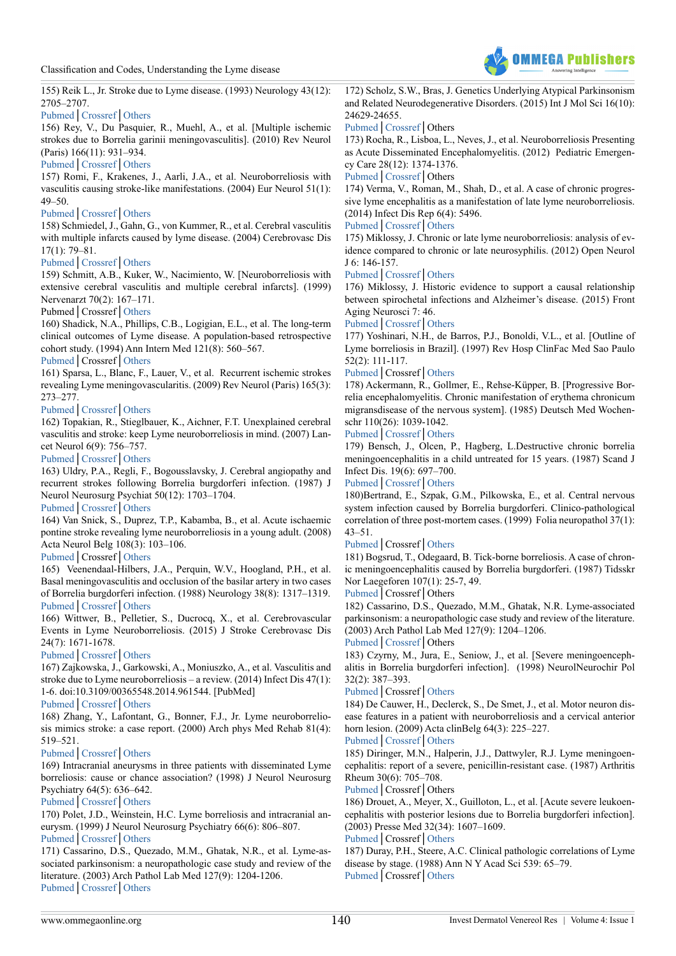

155) Reik L., Jr. Stroke due to Lyme disease. (1993) Neurology 43(12): 2705–2707.

#### [Pubmed](https://www.ncbi.nlm.nih.gov/pubmed/8255484)│[Crossref](https://doi.org/10.1212/WNL.43.12.2705)│[Others](http://n.neurology.org/content/43/12/2705)

156) Rey, V., Du Pasquier, R., Muehl, A., et al. [Multiple ischemic strokes due to Borrelia garinii meningovasculitis]. (2010) Rev Neurol (Paris) 166(11): 931–934.

# [Pubmed](https://www.ncbi.nlm.nih.gov/pubmed/?term=Multiple+ischemic+strokes+due+to+Borrelia+garinii+meningovasculitis)│[Crossref](https://doi.org/10.1016/j.neurol.2010.03.010)│[Others](https://www.researchgate.net/publication/43533769_Multiple_ischemic_strokes_due_to_Borrelia_garinii_meningovasculitis)

157) Romi, F., Krakenes, J., Aarli, J.A., et al. Neuroborreliosis with vasculitis causing stroke-like manifestations. (2004) Eur Neurol 51(1): 49–50.

# [Pubmed](https://www.ncbi.nlm.nih.gov/pubmed/?term=Neuroborreliosis+with+vasculitis+causing+stroke-like+manifestations)│[Crossref](https://doi.org/10.1159/000075090)│[Others](https://www.researchgate.net/publication/8990791_Neuroborreliosis_with_Vasculitis_Causing_Stroke-Like_Manifestations)

158) Schmiedel, J., Gahn, G., von Kummer, R., et al. Cerebral vasculitis with multiple infarcts caused by lyme disease. (2004) Cerebrovasc Dis 17(1): 79–81.

#### [Pubmed](https://www.ncbi.nlm.nih.gov/pubmed/?term=Cerebral+vasculitis+with+multiple+infarcts+caused+by+lyme+disease.)│[Crossref](https://doi.org/10.1159/000073904)│[Others](https://www.karger.com/Article/Abstract/73904)

159) Schmitt, A.B., Kuker, W., Nacimiento, W. [Neuroborreliosis with extensive cerebral vasculitis and multiple cerebral infarcts]. (1999) Nervenarzt 70(2): 167–171.

#### Pubmed│Crossref│[Others](https://www.ncbi.nlm.nih.gov/pubmed/10098153)

160) Shadick, N.A., Phillips, C.B., Logigian, E.L., et al. The long-term clinical outcomes of Lyme disease. A population-based retrospective cohort study. (1994) Ann Intern Med 121(8): 560–567.

# [Pubmed](https://www.ncbi.nlm.nih.gov/pubmed/8085687)│Crossref│[Others](http://annals.org/aim/article-abstract/708078/long-term-clinical-outcomes-lyme-disease-population-based-retrospective-cohort)

161) Sparsa, L., Blanc, F., Lauer, V., et al. Recurrent ischemic strokes revealing Lyme meningovascularitis. (2009) Rev Neurol (Paris) 165(3): 273–277.

# [Pubmed](https://www.ncbi.nlm.nih.gov/pubmed/?term=Recurrent+ischemic+strokes+revealing+Lyme+meningovascularitis.)│[Crossref](https://doi.org/10.1016/j.neurol.2008.06.010)│[Others](https://www.semanticscholar.org/paper/Recurrent-ischemic-strokes-revealing-Lyme-meningo-Sparsa-Blanc/7e56d30c0b16dd6baefaafd0ae76765c50fc57bbhttps://www.semanticscholar.org/paper/Recurrent-ischemic-strokes-revealing-Lyme-meningo-Sparsa-Blanc/7e56d30c0b16dd6baefaafd0ae76765c50fc57bb)

162) Topakian, R., Stieglbauer, K., Aichner, F.T. Unexplained cerebral vasculitis and stroke: keep Lyme neuroborreliosis in mind. (2007) Lancet Neurol 6(9): 756–757.

# [Pubmed](https://www.ncbi.nlm.nih.gov/pubmed/?term=Unexplained+cerebral+vasculitis+and+stroke%3A+keep+Lyme+neuroborreliosis+in+mind)│[Crossref](https://doi.org/10.1016/S1474-4422(07)70203-X)│[Others](http://www.thelancet.com/journals/laneur/article/PIIS1474-4422(07)70203-X/abstract)

163) Uldry, P.A., Regli, F., Bogousslavsky, J. Cerebral angiopathy and recurrent strokes following Borrelia burgdorferi infection. (1987) J Neurol Neurosurg Psychiat 50(12): 1703–1704.

# [Pubmed](https://www.ncbi.nlm.nih.gov/pubmed/3437311)│[Crossref](https://doi.org/10.1136/jnnp.50.12.1703)│[Others](http://jnnp.bmj.com/content/50/12/1703)

164) Van Snick, S., Duprez, T.P., Kabamba, B., et al. Acute ischaemic pontine stroke revealing lyme neuroborreliosis in a young adult. (2008) Acta Neurol Belg 108(3): 103–106.

#### [Pubmed](https://www.ncbi.nlm.nih.gov/pubmed/?term=Acute+ischaemic+pontine+stroke+revealing+lyme+neuroborreliosis+in+a+young+adult)│Crossref│[Others](https://www.semanticscholar.org/paper/Acute-ischaemic-pontine-stroke-revealing-lyme-neur-Snick-Duprez/43b044af02b9840118db8c6d8bee78653290d78e)

165) Veenendaal-Hilbers, J.A., Perquin, W.V., Hoogland, P.H., et al. Basal meningovasculitis and occlusion of the basilar artery in two cases of Borrelia burgdorferi infection. (1988) Neurology 38(8): 1317–1319. [Pubmed](https://www.ncbi.nlm.nih.gov/pubmed/?term=Basal+meningovasculitis+and+occlusion+of+the+basilar+artery+in+two+cases+of+Borrelia+burgdorferi+infection)│[Crossref](https://doi.org/10.1212/WNL.38.8.1317)│[Others](https://www.researchgate.net/publication/274980252_Basal_meningo-vasculitis_and_occlusion_of_the_basilar_artery_in_two_cases_of_Borrelia_burgdorferi_infection)

166) Wittwer, B., Pelletier, S., Ducrocq, X., et al. Cerebrovascular Events in Lyme Neuroborreliosis. (2015) J Stroke Cerebrovasc Dis 24(7): 1671-1678.

# [Pubmed](https://www.ncbi.nlm.nih.gov/pubmed/26002071)│[Crossref](https://doi.org/10.1016/j.jstrokecerebrovasdis.2015.03.056)│[Others](https://www.researchgate.net/publication/277079231_Cerebrovascular_Events_in_Lyme_Neuroborreliosis)

167) Zajkowska, J., Garkowski, A., Moniuszko, A., et al. Vasculitis and stroke due to Lyme neuroborreliosis – a review. (2014) Infect Dis 47(1): 1-6. doi:10.3109/00365548.2014.961544. [PubMed]

# [Pubmed](https://www.ncbi.nlm.nih.gov/pubmed/25342573)│[Crossref](https://doi.org/10.3109/00365548.2014.961544)│[Others](https://www.researchgate.net/publication/267330251_Vasculitis_and_stroke_due_to_Lyme_neuroborreliosis_-_a_review)

168) Zhang, Y., Lafontant, G., Bonner, F.J., Jr. Lyme neuroborreliosis mimics stroke: a case report. (2000) Arch phys Med Rehab 81(4): 519–521.

# [Pubmed](https://www.ncbi.nlm.nih.gov/pubmed/10768546)│[Crossref](https://doi.org/10.1053/mr.2000.4431)│[Others](http://www.archives-pmr.org/article/S0003-9993(00)93431-2/fulltext)

169) Intracranial aneurysms in three patients with disseminated Lyme borreliosis: cause or chance association? (1998) J Neurol Neurosurg Psychiatry 64(5): 636–642.

# [Pubmed](https://www.ncbi.nlm.nih.gov/pubmed/?term=Intracranial+aneurysms+in+three+patients+with+disseminated+Lyme+borreliosis%3A+cause+or+chance+association%3F+J)│[Crossref](https://doi.org/10.1136/jnnp.64.5.636)│[Others](https://www.researchgate.net/publication/13684864_Intracranial_aneurysms_in_three_patients_with_disseminated_Lyme_borreliosis_Cause_or_chance_association)

170) Polet, J.D., Weinstein, H.C. Lyme borreliosis and intracranial aneurysm. (1999) J Neurol Neurosurg Psychiatry 66(6): 806–807.

# [Pubmed](https://www.ncbi.nlm.nih.gov/pubmed/10400516)│[Crossref](https://doi.org/10.1136/jnnp.66.6.806a)│[Others](https://www.researchgate.net/publication/12897841_Lyme_borreliosis_and_intracranial_aneurysm)

171) Cassarino, D.S., Quezado, M.M., Ghatak, N.R., et al. Lyme-associated parkinsonism: a neuropathologic case study and review of the literature. (2003) Arch Pathol Lab Med 127(9): 1204-1206. [Pubmed](https://www.ncbi.nlm.nih.gov/pubmed/12946221)│[Crossref](https://doi.org/10.1043/1543-2165(2003)127%3c1204:LPANCS%3e2.0.CO;2)│[Others](https://www.researchgate.net/publication/10591451_Lyme-associated_parkinsonism_A_neuropathologic_case_study_and_review_of_the_literature)

172) Scholz, S.W., Bras, J. Genetics Underlying Atypical Parkinsonism and Related Neurodegenerative Disorders. (2015) Int J Mol Sci 16(10): 24629-24655.

# [Pubmed](https://www.ncbi.nlm.nih.gov/pubmed/?term=10.3390%2Fijms161024629)│[Crossref](https://doi.org/10.3390/ijms161024629)│Others

173) Rocha, R., Lisboa, L., Neves, J., et al. Neuroborreliosis Presenting as Acute Disseminated Encephalomyelitis. (2012) Pediatric Emergency Care 28(12): 1374-1376.

## [Pubmed](https://www.ncbi.nlm.nih.gov/pubmed/?term=Neuroborreliosis+Presenting+as+Acute+Disseminated+Encephalomyelitis.)│[Crossref](https://doi.org/10.1097/pec.0b013e318276c51d)│Others

174) Verma, V., Roman, M., Shah, D., et al. A case of chronic progressive lyme encephalitis as a manifestation of late lyme neuroborreliosis. (2014) Infect Dis Rep 6(4): 5496.

# [Pubmed](https://www.ncbi.nlm.nih.gov/pubmed/?term=A+case+of+chronic+progressive+lyme+encephalitis+as+a+manifestation+of+late+lyme+neuroborreliosis.)│[Crossref](https://doi.org/10.4081/idr.2014.5496)│[Others](http://d-scholarship.pitt.edu/24690/)

175) Miklossy, J. Chronic or late lyme neuroborreliosis: analysis of evidence compared to chronic or late neurosyphilis. (2012) Open Neurol J 6: 146-157.

#### [Pubmed](https://www.ncbi.nlm.nih.gov/pubmed/?term=10.2174%2F1874205X01206010146.)│[Crossref](https://doi.org/10.2174/1874205X01206010146)│[Others](https://benthamopen.com/ABSTRACT/TONEUJ-6-146)

176) Miklossy, J. Historic evidence to support a causal relationship between spirochetal infections and Alzheimer's disease. (2015) Front Aging Neurosci 7: 46.

# [Pubmed](https://www.ncbi.nlm.nih.gov/pubmed/25932012)│[Crossref](https://doi.org/10.3389/fnagi.2015.00046)│[Others](https://www.researchgate.net/publication/274958730_Historic_evidence_to_support_a_causal_relationship_between_spirochetal_infections_and_Alzheimer%27s_disease)

177) Yoshinari, N.H., de Barros, P.J., Bonoldi, V.L., et al. [Outline of Lyme borreliosis in Brazil]. (1997) Rev Hosp ClinFac Med Sao Paulo 52(2): 111-117.

# [Pubmed](https://www.ncbi.nlm.nih.gov/pubmed/9435406)│Crossref│[Others](https://www.researchgate.net/publication/13795881_Outline_of_Lyme_borreliosis_in_Brazil_Perfil_da_borreliose_de_Lyme_no_Brasil)

178) Ackermann, R., Gollmer, E., Rehse-Küpper, B. [Progressive Borrelia encephalomyelitis. Chronic manifestation of erythema chronicum migransdisease of the nervous system]. (1985) Deutsch Med Wochenschr 110(26): 1039-1042.

# [Pubmed](https://www.ncbi.nlm.nih.gov/pubmed/4006760)│[Crossref](https://doi.org/10.1055/s-2008-1068956)│[Others](https://www.researchgate.net/publication/19154703_Progressive_Borrelian_encephalomyelitis_Chronic_neural_manifestation_of_erythema_chronicum_migrans_disease)

179) Bensch, J., Olcen, P., Hagberg, L.Destructive chronic borrelia meningoencephalitis in a child untreated for 15 years. (1987) Scand J Infect Dis. 19(6): 697–700.

# [Pubmed](https://www.ncbi.nlm.nih.gov/pubmed/3441752)│[Crossref](https://doi.org/10.3109/00365548709117207)│[Others](https://www.researchgate.net/publication/247892185_Destructive_Chronic_Borelia_Meningoencephalitis_in_a_Child_Untreated_for_15_Years)

180)Bertrand, E., Szpak, G.M., Pilkowska, E., et al. Central nervous system infection caused by Borrelia burgdorferi. Clinico-pathological correlation of three post-mortem cases. (1999) Folia neuropathol 37(1): 43–51.

# [Pubmed](https://www.ncbi.nlm.nih.gov/pubmed/10337063)│Crossref│[Others](https://www.researchgate.net/publication/12961818_Central_nervous_system_infection_caused_by_Borrelia_burgdorferi_Clinico-pathological_correlation_of_three_post-mortem_cases)

181) Bogsrud, T., Odegaard, B. Tick-borne borreliosis. A case of chronic meningoencephalitis caused by Borrelia burgdorferi. (1987) Tidsskr Nor Laegeforen 107(1): 25-7, 49.

# [Pubmed](https://www.ncbi.nlm.nih.gov/pubmed/3824285)│Crossref│Others

182) Cassarino, D.S., Quezado, M.M., Ghatak, N.R. Lyme-associated parkinsonism: a neuropathologic case study and review of the literature. (2003) Arch Pathol Lab Med 127(9): 1204–1206.

# [Pubmed](https://www.ncbi.nlm.nih.gov/pubmed/12946221)│[Crossref](https://doi.org/10.1043/1543-2165(2003)127%3C1204:LPANCS%3E2.0.CO;2)│Others

<span id="page-7-0"></span>183) Czyrny, M., Jura, E., Seniow, J., et al. [Severe meningoencephalitis in Borrelia burgdorferi infection]. (1998) NeurolNeurochir Pol 32(2): 387–393.

# [Pubmed](https://www.ncbi.nlm.nih.gov/pubmed/9760557)│Crossref│[Others](https://www.researchgate.net/publication/13524623_Severe_meningoencephalitis_in_Borrelia_burgdorferi_infection)

184) De Cauwer, H., Declerck, S., De Smet, J., et al. Motor neuron disease features in a patient with neuroborreliosis and a cervical anterior horn lesion. (2009) Acta clinBelg 64(3): 225–227.

# [Pubmed](https://www.ncbi.nlm.nih.gov/pubmed/19670562)│[Crossref](https://doi.org/10.1179/acb.2009.039)│[Others](https://www.researchgate.net/publication/26732115_Motor_neuron_disease_features_in_a_patient_with_neuroborreliosis_and_a_cervical_anterior_horn_lesion)

185) Diringer, M.N., Halperin, J.J., Dattwyler, R.J. Lyme meningoencephalitis: report of a severe, penicillin-resistant case. (1987) Arthritis Rheum 30(6): 705–708.

[Pubmed](https://www.ncbi.nlm.nih.gov/pubmed/3649235)│Crossref│Others

186) Drouet, A., Meyer, X., Guilloton, L., et al. [Acute severe leukoencephalitis with posterior lesions due to Borrelia burgdorferi infection]. (2003) Presse Med 32(34): 1607–1609.

#### [Pubmed](https://www.ncbi.nlm.nih.gov/pubmed/14576583)│Crossref│[Others](https://www.researchgate.net/publication/231587609_Acute_severe_leukoencephalitis_with_posterior_lesions_due_to_Borrelia_burgdorferi_infection)

187) Duray, P.H., Steere, A.C. Clinical pathologic correlations of Lyme disease by stage. (1988) Ann N Y Acad Sci 539: 65–79. [Pubmed](https://www.ncbi.nlm.nih.gov/pubmed/2847622)│Crossref│[Others](https://www.researchgate.net/publication/20307870_Clinical_pathologic_correlations_of_Lyme_disease_by_stage)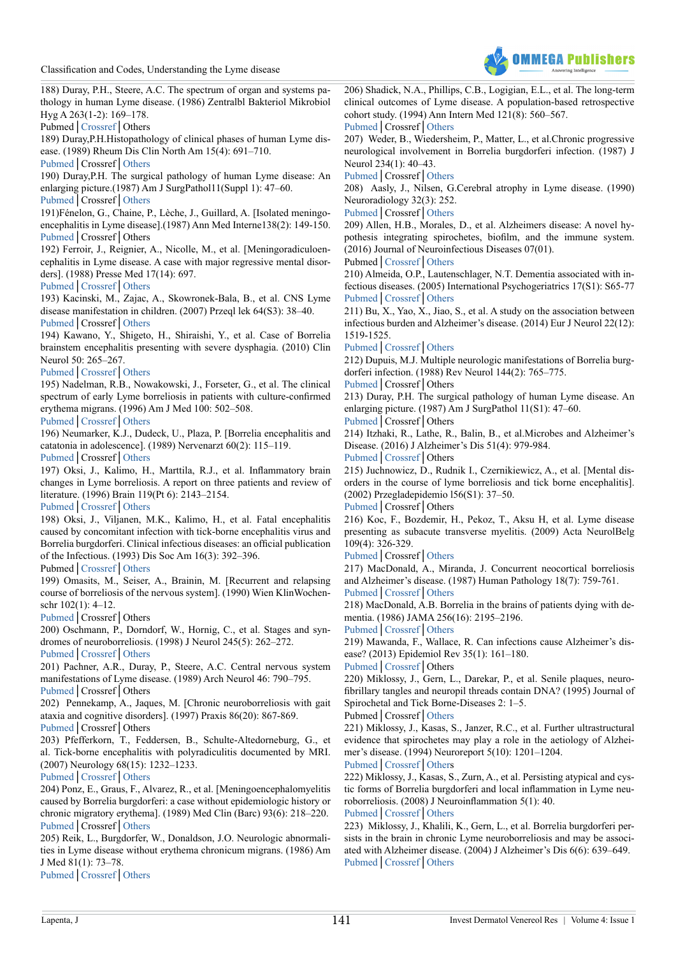

188) Duray, P.H., Steere, A.C. The spectrum of organ and systems pathology in human Lyme disease. (1986) Zentralbl Bakteriol Mikrobiol Hyg A 263(1-2): 169–178.

Pubmed│[Crossref](https://doi.org/10.1016/S0176-6724(86)80120-1)│Others

189) Duray,P.H.Histopathology of clinical phases of human Lyme disease. (1989) Rheum Dis Clin North Am 15(4): 691–710.

[Pubmed](https://www.ncbi.nlm.nih.gov/pubmed/2685926)│Crossref│[Others](https://www.researchgate.net/publication/20470160_Histopathology_of_clinical_phases_of_human_Lyme_disease)

190) Duray,P.H. The surgical pathology of human Lyme disease: An enlarging picture.(1987) Am J SurgPathol11(Suppl 1): 47–60. [Pubmed](https://www.ncbi.nlm.nih.gov/pubmed/3812878)│Crossref│[Others](http://journals.lww.com/ajsp/pages/articleviewer.aspx?year=1987&issue=00111&article=00005&type=abstract)

191)Fénelon, G., Chaine, P., Lèche, J., Guillard, A. [Isolated meningoencephalitis in Lyme disease].(1987) Ann Med Interne138(2): 149-150. [Pubmed](https://www.ncbi.nlm.nih.gov/pubmed/3579101)│Crossref│Others

192) Ferroir, J., Reignier, A., Nicolle, M., et al. [Meningoradiculoencephalitis in Lyme disease. A case with major regressive mental disorders]. (1988) Presse Med 17(14): 697.

[Pubmed](https://www.ncbi.nlm.nih.gov/pubmed/2966957)│[Crossref](https://doi.org/10.1016/S0924-977X(03)92340-6)│[Others](https://www.researchgate.net/publication/247137791_Mental_disorders_in_patients_with_Lyme_Disease)

193) Kacinski, M., Zajac, A., Skowronek-Bala, B., et al. CNS Lyme disease manifestation in children. (2007) Przeql lek 64(S3): 38–40. [Pubmed](https://www.ncbi.nlm.nih.gov/pubmed/18431910)│Crossref│[Others](https://www.researchgate.net/publication/5420817_CNS_Lyme_disease_manifestation_in_children)

194) Kawano, Y., Shigeto, H., Shiraishi, Y., et al. Case of Borrelia brainstem encephalitis presenting with severe dysphagia. (2010) Clin Neurol 50: 265–267.

[Pubmed](https://www.ncbi.nlm.nih.gov/pubmed/20411811)│[Crossref](https://doi.org/10.5692/clinicalneurol.50.265)│[Others](https://www.researchgate.net/publication/43297505_Case_of_Borrelia_brainstem_encephalitis_presenting_with_severe_dysphagia)

195) Nadelman, R.B., Nowakowski, J., Forseter, G., et al. The clinical spectrum of early Lyme borreliosis in patients with culture-confirmed erythema migrans. (1996) Am J Med 100: 502–508.

[Pubmed](https://www.ncbi.nlm.nih.gov/pubmed/8644761)│[Crossref](https://doi.org/10.1016/S0002-9343(95)99915-9)│[Others](https://www.sciencedirect.com/science/article/pii/S0002934395999159)

196) Neumarker, K.J., Dudeck, U., Plaza, P. [Borrelia encephalitis and catatonia in adolescence]. (1989) Nervenarzt 60(2): 115–119. [Pubmed](https://www.ncbi.nlm.nih.gov/pubmed/2716930)│Crossref│[Others](https://www.unboundmedicine.com/medline/citation/2716930/%5bBorrelia_encephalitis_and_catatonia_in_adolescence%5d_)

197) Oksi, J., Kalimo, H., Marttila, R.J., et al. Inflammatory brain changes in Lyme borreliosis. A report on three patients and review of literature. (1996) Brain 119(Pt 6): 2143–2154.

[Pubmed](https://www.ncbi.nlm.nih.gov/pubmed/9010017)│[Crossref](https://doi.org/10.1093/brain/119.6.2143)│[Others](https://www.researchgate.net/publication/14198680_Inflammatory_brain_changes_in_Lyme_borreliosis_A_report_on_three_patients_and_review_of_literature)

198) Oksi, J., Viljanen, M.K., Kalimo, H., et al. Fatal encephalitis caused by concomitant infection with tick-borne encephalitis virus and Borrelia burgdorferi. Clinical infectious diseases: an official publication of the Infectious. (1993) Dis Soc Am 16(3): 392–396.

Pubmed│[Crossref](https://doi.org/10.1093/clind/16.3.392)│[Others](https://academic.oup.com/cid/article-abstract/16/3/392/531379)

199) Omasits, M., Seiser, A., Brainin, M. [Recurrent and relapsing course of borreliosis of the nervous system]. (1990) Wien KlinWochenschr 102(1): 4–12.

[Pubmed](https://www.ncbi.nlm.nih.gov/pubmed/2408240)│Crossref│Others

200) Oschmann, P., Dorndorf, W., Hornig, C., et al. Stages and syndromes of neuroborreliosis. (1998) J Neurol 245(5): 262–272. [Pubmed](https://www.ncbi.nlm.nih.gov/pubmed/9617706)│[Crossref](https://doi.org/10.1007/s004150050216)│[Others](https://www.researchgate.net/publication/13666188_Stages_and_syndromes_of_neuroborreliosis)

201) Pachner, A.R., Duray, P., Steere, A.C. Central nervous system manifestations of Lyme disease. (1989) Arch Neurol 46: 790–795.

[Pubmed](https://www.ncbi.nlm.nih.gov/pubmed/2742551)│Crossref│Others

202) Pennekamp, A., Jaques, M. [Chronic neuroborreliosis with gait ataxia and cognitive disorders]. (1997) Praxis 86(20): 867-869.

[Pubmed](https://www.ncbi.nlm.nih.gov/pubmed/9312817)│Crossref│Others

203) Pfefferkorn, T., Feddersen, B., Schulte-Altedorneburg, G., et al. Tick-borne encephalitis with polyradiculitis documented by MRI. (2007) Neurology 68(15): 1232–1233.

[Pubmed](https://www.ncbi.nlm.nih.gov/pubmed/17420411)│[Crossref](https://doi.org/10.1212/01.wnl.0000259065.58968.10)│[Others](https://www.researchgate.net/publication/6403137_Tick-borne_encephalitis_with_polyradiculitis_documented_by_MRI)

204) Ponz, E., Graus, F., Alvarez, R., et al. [Meningoencephalomyelitis caused by Borrelia burgdorferi: a case without epidemiologic history or chronic migratory erythema]. (1989) Med Clin (Barc) 93(6): 218–220. [Pubmed](https://www.ncbi.nlm.nih.gov/pubmed/2601480)│Crossref│[Others](https://geoscience.net/research/002/572/002572183.php)

205) Reik, L., Burgdorfer, W., Donaldson, J.O. Neurologic abnormalities in Lyme disease without erythema chronicum migrans. (1986) Am J Med 81(1): 73–78.

[Pubmed](https://www.ncbi.nlm.nih.gov/pubmed/3728556)│[Crossref](https://doi.org/10.1097/00005792-197907000-00001)│[Others](https://www.researchgate.net/publication/22691940_Neurologic_Abnormalities_of_Lyme_Disease)

206) Shadick, N.A., Phillips, C.B., Logigian, E.L., et al. The long-term clinical outcomes of Lyme disease. A population-based retrospective cohort study. (1994) Ann Intern Med 121(8): 560–567. [Pubmed](https://www.ncbi.nlm.nih.gov/pubmed/8085687)│Crossref│[Others](https://www.researchgate.net/publication/15112937_The_long-term_clinical_outcomes_of_Lyme_disease_A_population-based_retrospective_cohort_study)

207) Weder, B., Wiedersheim, P., Matter, L., et al.Chronic progressive neurological involvement in Borrelia burgdorferi infection. (1987) J Neurol 234(1): 40–43.

[Pubmed](https://www.ncbi.nlm.nih.gov/pubmed/3819785)│Crossref│[Others](https://link.springer.com/article/10.1007/BF00314008)

208) Aasly, J., Nilsen, G.Cerebral atrophy in Lyme disease. (1990) Neuroradiology 32(3): 252.

[Pubmed](https://www.ncbi.nlm.nih.gov/pubmed/2215913)│Crossref│[Others](https://link.springer.com/article/10.1007/BF00589125)

209) Allen, H.B., Morales, D., et al. Alzheimers disease: A novel hypothesis integrating spirochetes, biofilm, and the immune system. (2016) Journal of Neuroinfectious Diseases 07(01).

Pubmed│[Crossref](https://doi.org/10.4172/2314-7326.1000200)│[Others](https://www.researchgate.net/publication/294089000)

210) Almeida, O.P., Lautenschlager, N.T. Dementia associated with infectious diseases. (2005) International Psychogeriatrics 17(S1): S65-77 [Pubmed](https://www.ncbi.nlm.nih.gov/pubmed/16240484)│[Crossref](https://doi.org/10.1017/S104161020500195X)│[Others](https://www.researchgate.net/publication/7527028_Dementia_associated_with_infectious_diseases)

211) Bu, X., Yao, X., Jiao, S., et al. A study on the association between infectious burden and Alzheimer's disease. (2014) Eur J Neurol 22(12): 1519-1525.

[Pubmed](https://www.ncbi.nlm.nih.gov/pubmed/24910016)│[Crossref](https://doi.org/10.1111/ene.12477)│[Others](http://onlinelibrary.wiley.com/doi/10.1111/ene.12477/abstract)

212) Dupuis, M.J. Multiple neurologic manifestations of Borrelia burgdorferi infection. (1988) Rev Neurol 144(2): 765–775.

[Pubmed](https://www.ncbi.nlm.nih.gov/pubmed/3070690)│Crossref│Others

<span id="page-8-0"></span>213) Duray, P.H. The surgical pathology of human Lyme disease. An enlarging picture. (1987) Am J SurgPathol 11(S1): 47–60. [Pubmed](https://www.ncbi.nlm.nih.gov/pubmed/3812878)│Crossref│Others

214) Itzhaki, R., Lathe, R., Balin, B., et al.Microbes and Alzheimer's Disease. (2016) J Alzheimer's Dis 51(4): 979-984.

[Pubmed](https://www.ncbi.nlm.nih.gov/pubmed/26967229)│[Crossref](https://doi.org/10.3233/JAD-160152)│Others

215) Juchnowicz, D., Rudnik I., Czernikiewicz, A., et al. [Mental disorders in the course of lyme borreliosis and tick borne encephalitis]. (2002) Przegladepidemio l56(S1): 37–50.

[Pubmed](https://www.ncbi.nlm.nih.gov/pubmed/12194228)│Crossref│Others

216) Koc, F., Bozdemir, H., Pekoz, T., Aksu H, et al. Lyme disease presenting as subacute transverse myelitis. (2009) Acta NeurolBelg 109(4): 326-329.

[Pubmed](https://www.ncbi.nlm.nih.gov/pubmed/20120216)│Crossref│[Others](https://www.researchgate.net/publication/41395660_Lyme_disease_presenting_as_subacute_transverse_myelitis)

217) MacDonald, A., Miranda, J. Concurrent neocortical borreliosis and Alzheimer's disease. (1987) Human Pathology 18(7): 759-761. [Pubmed](https://www.ncbi.nlm.nih.gov/pubmed/3297997)│[Crossref](https://doi.org/10.1016/S0046-8177(87)80252-6)│[Others](http://www.sciencedirect.com/science/article/pii/S0046817787802526)

218) MacDonald, A.B. Borrelia in the brains of patients dying with dementia. (1986) JAMA 256(16): 2195–2196.

[Pubmed](https://www.ncbi.nlm.nih.gov/pubmed/3761515)│[Crossref](https://doi.org/10.1001/jama.1986.03380160053011)│[Others](https://jamanetwork.com/journals/jama/article-abstract/362744?redirect=true)

219) Mawanda, F., Wallace, R. Can infections cause Alzheimer's disease? (2013) Epidemiol Rev 35(1): 161–180.

[Pubmed](https://www.ncbi.nlm.nih.gov/pubmed/23349428)│[Crossref](https://doi.org/10.1093/epirev/mxs007)│Others

220) Miklossy, J., Gern, L., Darekar, P., et al. Senile plaques, neurofibrillary tangles and neuropil threads contain DNA? (1995) Journal of Spirochetal and Tick Borne-Diseases 2: 1–5.

Pubmed│Crossref│[Others](https://www.scienceopen.com/document?vid=d6544de7-d894-4426-835a-db3e45e29c33)

221) Miklossy, J., Kasas, S., Janzer, R.C., et al. Further ultrastructural evidence that spirochetes may play a role in the aetiology of Alzheimer's disease. (1994) Neuroreport 5(10): 1201–1204.

[Pubmed](https://www.ncbi.nlm.nih.gov/pubmed/7919164)│[Crossref](https://doi.org/10.1097/00001756-199406020-00010)│[Other](https://www.researchgate.net/publication/15280397_Further_ultrastructural_evidence_that_spirochaetes_may_play_a_role_in_the_etiology_of_Alzheimer%27s_disease)s

222) Miklossy, J., Kasas, S., Zurn, A., et al. Persisting atypical and cystic forms of Borrelia burgdorferi and local inflammation in Lyme neuroborreliosis. (2008) J Neuroinflammation 5(1): 40.

[Pubmed](https://www.ncbi.nlm.nih.gov/pubmed/18817547)│[Crossref](https://doi.org/10.1186/1742-2094-5-40)│[Others](https://jneuroinflammation.biomedcentral.com/articles/10.1186/1742-2094-5-40)

223) Miklossy, J., Khalili, K., Gern, L., et al. Borrelia burgdorferi persists in the brain in chronic Lyme neuroborreliosis and may be associated with Alzheimer disease. (2004) J Alzheimer's Dis 6(6): 639–649. [Pubmed](https://www.ncbi.nlm.nih.gov/pubmed/15665404)│[Crossref](https://doi.org/10.3233/978-1-61499-706-1-67)│[Others](https://www.researchgate.net/publication/316342420_Borrelia_Burgdorferi_Persists_in_the_Brain_in_Chronic_Lyme_Neuroborreliosis_and_may_be_Associated_with_Alzheimer_Disease)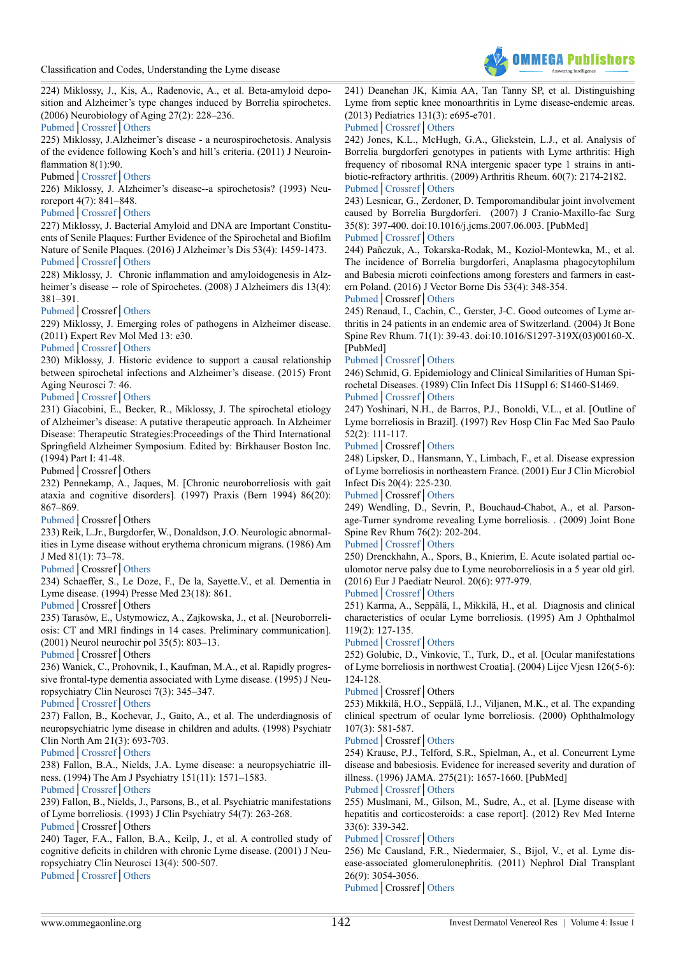

224) Miklossy, J., Kis, A., Radenovic, A., et al. Beta-amyloid deposition and Alzheimer's type changes induced by Borrelia spirochetes. (2006) Neurobiology of Aging 27(2): 228–236.

[Pubmed](https://www.ncbi.nlm.nih.gov/pubmed/15894409)│[Crossref](https://doi.org/10.1016/j.neurobiolaging.2005.01.018)│[Others](http://research-repository.uwa.edu.au/en/publications/betaamyloid-deposition-and-alzheimers-type-changes-induced-by-borrelia-spirochetes(4becb2c7-7d79-4d8e-aa47-b8387218d210)/export.html)

225) Miklossy, J.Alzheimer's disease - a neurospirochetosis. Analysis of the evidence following Koch's and hill's criteria. (2011) J Neuroinflammation 8(1):90.

Pubmed│[Crossref](https://doi.org/10.1186/1742-2094-8-90)│[Others](https://jneuroinflammation.biomedcentral.com/articles/10.1186/1742-2094-8-90)

226) Miklossy, J. Alzheimer's disease--a spirochetosis? (1993) Neuroreport 4(7): 841–848.

# [Pubmed](https://www.ncbi.nlm.nih.gov/pubmed/8369471)│[Crossref](https://doi.org/10.1097/00001756-199307000-00002)│[Others](https://www.researchgate.net/publication/247589404_Alzheimers_disease-a_spirochetosis)

227) Miklossy, J. Bacterial Amyloid and DNA are Important Constituents of Senile Plaques: Further Evidence of the Spirochetal and Biofilm Nature of Senile Plaques. (2016) J Alzheimer's Dis 53(4): 1459-1473. [Pubmed](https://www.ncbi.nlm.nih.gov/pubmed/27314530)│[Crossref](https://doi.org/10.3233/JAD-160451)│[Others](https://www.j-alz.com/content/bacterial-amyloid-and-dna-are-important-constituents-senile-plaques-further-evidence)

228) Miklossy, J. Chronic inflammation and amyloidogenesis in Alzheimer's disease -- role of Spirochetes. (2008) J Alzheimers dis 13(4): 381–391.

[Pubmed](https://www.ncbi.nlm.nih.gov/pubmed/18487847)│Crossref│[Others](http://www.miklossy.ch/media/MiklossySpecialIssue2008Spiro%2426ADfulltextPdf.pdf)

229) Miklossy, J. Emerging roles of pathogens in Alzheimer disease. (2011) Expert Rev Mol Med 13: e30.

# [Pubmed](https://www.ncbi.nlm.nih.gov/pubmed/?term=10.1017%2Fs1462399411002006.)│[Crossref](https://doi.org/10.1017/s1462399411002006)│[Others](https://www.cambridge.org/core/journals/expert-reviews-in-molecular-medicine/article/emerging-roles-of-pathogens-in-alzheimer-disease/CC3D7D5D8DB9946C761C5F7D9C07F16C)

230) Miklossy, J. Historic evidence to support a causal relationship between spirochetal infections and Alzheimer's disease. (2015) Front Aging Neurosci 7: 46.

# [Pubmed](https://www.ncbi.nlm.nih.gov/pubmed/25932012)│[Crossref](https://doi.org/10.3389/fnagi.2015.00046)│[Others](https://www.frontiersin.org/articles/10.3389/fnagi.2015.00046/full)

231) Giacobini, E., Becker, R., Miklossy, J. The spirochetal etiology of Alzheimer's disease: A putative therapeutic approach. In Alzheimer Disease: Therapeutic Strategies:Proceedings of the Third International Springfield Alzheimer Symposium. Edited by: Birkhauser Boston Inc. (1994) Part I: 41-48.

Pubmed│Crossref│Others

232) Pennekamp, A., Jaques, M. [Chronic neuroborreliosis with gait ataxia and cognitive disorders]. (1997) Praxis (Bern 1994) 86(20): 867–869.

# [Pubmed](https://www.ncbi.nlm.nih.gov/pubmed/9312817)│Crossref│Others

233) Reik, L.Jr., Burgdorfer, W., Donaldson, J.O. Neurologic abnormalities in Lyme disease without erythema chronicum migrans. (1986) Am J Med 81(1): 73–78.

# [Pubmed](https://www.ncbi.nlm.nih.gov/pubmed/3728556)│Crossref│[Others](https://docslide.com.br/documents/neurologic-abnormalities-in-lyme-disease-without-erythema-chronicum-migrans.html)

234) Schaeffer, S., Le Doze, F., De la, Sayette.V., et al. Dementia in Lyme disease. (1994) Presse Med 23(18): 861.

[Pubmed](https://www.ncbi.nlm.nih.gov/pubmed/7937612)│Crossref│Others

235) Tarasów, E., Ustymowicz, A., Zajkowska, J., et al. [Neuroborreliosis: CT and MRI findings in 14 cases. Preliminary communication]. (2001) Neurol neurochir pol 35(5): 803–13.

[Pubmed](https://www.ncbi.nlm.nih.gov/pubmed/?term=%5BNeuroborreliosis%3A+CT+and+MRI+findings+in+14+cases.+Preliminary+communication)│Crossref│Others

236) Waniek, C., Prohovnik, I., Kaufman, M.A., et al. Rapidly progressive frontal-type dementia associated with Lyme disease. (1995) J Neuropsychiatry Clin Neurosci 7(3): 345–347.

# [Pubmed](https://www.ncbi.nlm.nih.gov/pubmed/?term=Rapidly+progressive+frontal-type+dementia+associated+with+Lyme+disease.)│[Crossref](https://doi.org/10.1176/jnp.7.3.345)│[Others](https://neuro.psychiatryonline.org/doi/abs/10.1176/jnp.7.3.345)

237) Fallon, B., Kochevar, J., Gaito, A., et al. The underdiagnosis of neuropsychiatric lyme disease in children and adults. (1998) Psychiatr Clin North Am 21(3): 693-703.

[Pubmed](https://www.ncbi.nlm.nih.gov/pubmed/?term=The+underdiagnosis+of+neuropsychiatric+lyme+disease+in+children+and+adults)│[Crossref](https://doi.org/10.1016/S0193-953X(05)70032-0)│[Others](https://www.sciencedirect.com/science/article/pii/S0193953X05700320)

238) Fallon, B.A., Nields, J.A. Lyme disease: a neuropsychiatric illness. (1994) The Am J Psychiatry 151(11): 1571–1583.

[Pubmed](https://www.ncbi.nlm.nih.gov/pubmed/7943444)│[Crossref](https://doi.org/10.1176/ajp.151.11.1571)│[Others](http://www.angelfire.com/biz/romarkaraoke/lymeart.html)

239) Fallon, B., Nields, J., Parsons, B., et al. Psychiatric manifestations of Lyme borreliosis. (1993) J Clin Psychiatry 54(7): 263-268.

[Pubmed](https://www.ncbi.nlm.nih.gov/pubmed/8335653)│Crossref│Others

240) Tager, F.A., Fallon, B.A., Keilp, J., et al. A controlled study of cognitive deficits in children with chronic Lyme disease. (2001) J Neuropsychiatry Clin Neurosci 13(4): 500-507.

[Pubmed](https://www.ncbi.nlm.nih.gov/pubmed/?term=A+controlled+study+of+cognitive+deficits+in+children+with+chronic+Lyme+disease)│[Crossref](https://doi.org/10.1176/jnp.13.4.500)│[Others](https://www.researchgate.net/publication/11609363_A_Controlled_Study_of_Cognitive_Deficits_in_Children_With_Chronic_Lyme_Disease)

241) Deanehan JK, Kimia AA, Tan Tanny SP, et al. Distinguishing Lyme from septic knee monoarthritis in Lyme disease-endemic areas. (2013) Pediatrics 131(3): e695-e701.

[Pubmed](https://www.ncbi.nlm.nih.gov/pubmed/?term=10.1542%2Fpeds.2012-2531)│[Crossref](https://doi.org/10.1542/peds.2012-2531)│[Others](http://pediatrics.aappublications.org/content/early/2013/02/13/peds.2012-2531)

242) Jones, K.L., McHugh, G.A., Glickstein, L.J., et al. Analysis of Borrelia burgdorferi genotypes in patients with Lyme arthritis: High frequency of ribosomal RNA intergenic spacer type 1 strains in antibiotic-refractory arthritis. (2009) Arthritis Rheum. 60(7): 2174-2182. [Pubmed](https://www.ncbi.nlm.nih.gov/pubmed/?term=10.1002%2Fart.24812)│[Crossref](https://doi.org/10.1002/art.24812)│[Others](http://onlinelibrary.wiley.com/doi/10.1002/art.24812/full)

243) Lesnicar, G., Zerdoner, D. Temporomandibular joint involvement caused by Borrelia Burgdorferi. (2007) J Cranio-Maxillo-fac Surg 35(8): 397-400. doi:10.1016/j.jcms.2007.06.003. [PubMed] [Pubmed](https://www.ncbi.nlm.nih.gov/pubmed/?term=10.1016%2Fj.jcms.2007.06.003)│[Crossref](https://doi.org/10.1016/j.jcms.2007.06.003)│[Others](http://www.sciencedirect.com/science/article/pii/S101051820700100X)

<span id="page-9-0"></span>244) Pañczuk, A., Tokarska-Rodak, M., Koziol-Montewka, M., et al. The incidence of Borrelia burgdorferi, Anaplasma phagocytophilum and Babesia microti coinfections among foresters and farmers in eastern Poland. (2016) J Vector Borne Dis 53(4): 348-354.

#### [Pubmed](https://www.ncbi.nlm.nih.gov/pubmed/?term=The+incidence+of+Borrelia+burgdorferi%2C+Anaplasma+phagocytophilum+and+Babesia+microti+coinfections+among+foresters+and+farmers+in+eastern+Poland.)│Crossref│[Others](https://www.ncbi.nlm.nih.gov/pubmed/?term=The+incidence+of+Borrelia+burgdorferi%2C+Anaplasma+phagocytophilum+and+Babesia+microti+coinfections+among+foresters+and+farmers+in+eastern+Poland.)

245) Renaud, I., Cachin, C., Gerster, J-C. Good outcomes of Lyme arthritis in 24 patients in an endemic area of Switzerland. (2004) Jt Bone Spine Rev Rhum. 71(1): 39-43. doi:10.1016/S1297-319X(03)00160-X. [PubMed]

# [Pubmed](https://www.ncbi.nlm.nih.gov/pubmed/?term=Good+outcomes+of+Lyme+arthritis+in+24+patients+in+an+endemic+area+of+Switzerland.)│[Crossref](https://doi.org/10.1016/S1297-319X(03)00160-X)│[Others](http://www.sciencedirect.com/science/article/pii/S1297319X0300160X)

246) Schmid, G. Epidemiology and Clinical Similarities of Human Spirochetal Diseases. (1989) Clin Infect Dis 11Suppl 6: S1460-S1469.

# [Pubmed](https://www.ncbi.nlm.nih.gov/pubmed/?term=Epidemiology+and+Clinical+Similarities+of+Human+Spirochetal+Diseases)│[Crossref](https://doi.org/10.1093/clinids/11.Supplement_6.S1460)│[Others](https://academic.oup.com/cid/article-abstract/11/Supplement_6/S1460/347550?redirectedFrom=fulltext)

247) Yoshinari, N.H., de Barros, P.J., Bonoldi, V.L., et al. [Outline of Lyme borreliosis in Brazil]. (1997) Rev Hosp Clin Fac Med Sao Paulo 52(2): 111-117.

[Pubmed](https://www.ncbi.nlm.nih.gov/pubmed/?term=%5BOutline+of+Lyme+borreliosis+in+Brazil%5D.+%5Bin+Portuguese%5D.)│Crossref│[Others](https://www.researchgate.net/publication/13795881_Outline_of_Lyme_borreliosis_in_Brazil_Perfil_da_borreliose_de_Lyme_no_Brasil)

248) Lipsker, D., Hansmann, Y., Limbach, F., et al. Disease expression of Lyme borreliosis in northeastern France. (2001) Eur J Clin Microbiol Infect Dis 20(4): 225-230.

# [Pubmed](https://www.ncbi.nlm.nih.gov/pubmed/11399010)│Crossref│[Others](https://link.springer.com/article/10.1007/s100960100476)

249) Wendling, D., Sevrin, P., Bouchaud-Chabot, A., et al. Parsonage-Turner syndrome revealing Lyme borreliosis. . (2009) Joint Bone Spine Rev Rhum 76(2): 202-204.

# [Pubmed](https://www.ncbi.nlm.nih.gov/pubmed/?term=10.1016%2Fj.jbspin.2008.07.013)│[Crossref](https://doi.org/10.1016/j.jbspin.2008.07.013)│[Others](http://www.sciencedirect.com/science/article/pii/S1297319X08003187)

250) Drenckhahn, A., Spors, B., Knierim, E. Acute isolated partial oculomotor nerve palsy due to Lyme neuroborreliosis in a 5 year old girl. (2016) Eur J Paediatr Neurol. 20(6): 977-979.

# [Pubmed](https://www.ncbi.nlm.nih.gov/pubmed/?term=Acute+isolated+partial+oculomotor+nerve+palsy+due+to+Lyme+neuroborreliosis+in+a+5+year+old+girl)│[Crossref](https://doi.org/10.1016/j.ejpn.2016.05.022)│[Others](http://www.sciencedirect.com/science/article/pii/S1090379816300794)

251) Karma, A., Seppälä, I., Mikkilä, H., et al. Diagnosis and clinical characteristics of ocular Lyme borreliosis. (1995) Am J Ophthalmol 119(2): 127-135.

# [Pubmed](https://www.ncbi.nlm.nih.gov/pubmed/7832219)│[Crossref](https://doi.org/10.1016/S0002-9394(14)73864-4)│[Others](https://www.researchgate.net/publication/15367441_Diagnosis_and_Clinical_Characteristics_of_Ocular_Lyme_Borreliosis_Author_Reply)

252) Golubic, D., Vinkovic, T., Turk, D., et al. [Ocular manifestations of Lyme borreliosis in northwest Croatia]. (2004) Lijec Vjesn 126(5-6): 124-128.

# [Pubmed](https://www.ncbi.nlm.nih.gov/pubmed/?term=%5BOcular+manifestations+of+Lyme+borreliosis+in+northwest+Croatia)│Crossref│Others

<span id="page-9-1"></span>253) Mikkilä, H.O., Seppälä, I.J., Viljanen, M.K., et al. The expanding clinical spectrum of ocular lyme borreliosis. (2000) Ophthalmology 107(3): 581-587.

# [Pubmed](https://www.ncbi.nlm.nih.gov/pubmed/10711899)│Crossref│[Others](https://www.julkari.fi/handle/10024/85777)

254) Krause, P.J., Telford, S.R., Spielman, A., et al. Concurrent Lyme disease and babesiosis. Evidence for increased severity and duration of illness. (1996) JAMA. 275(21): 1657-1660. [PubMed]

# [Pubmed](https://www.ncbi.nlm.nih.gov/pubmed/8637139)│[Crossref](https://doi.org/10.1001/jama.1996.03530450047031)│[Others](https://jamanetwork.com/journals/jama/article-abstract/403174?redirect=true)

255) Muslmani, M., Gilson, M., Sudre, A., et al. [Lyme disease with hepatitis and corticosteroids: a case report]. (2012) Rev Med Interne 33(6): 339-342.

# [Pubmed](https://www.ncbi.nlm.nih.gov/pubmed/?term=10.1016%2Fj.revmed.2012.01.016.)│[Crossref](https://doi.org/10.1016/j.revmed.2012.01.016)│[Others](https://www.researchgate.net/publication/221861771_Lyme_disease_with_hepatitis_and_corticosteroids_A_case_report)

256) Mc Causland, F.R., Niedermaier, S., Bijol, V., et al. Lyme disease-associated glomerulonephritis. (2011) Nephrol Dial Transplant 26(9): 3054-3056.

[Pubmed](https://www.ncbi.nlm.nih.gov/pubmed/?term=10.1093%2Fndt%2Fgfr335)│Crossref│[Others](https://academic.oup.com/ndt/article/26/9/3054/1819994)